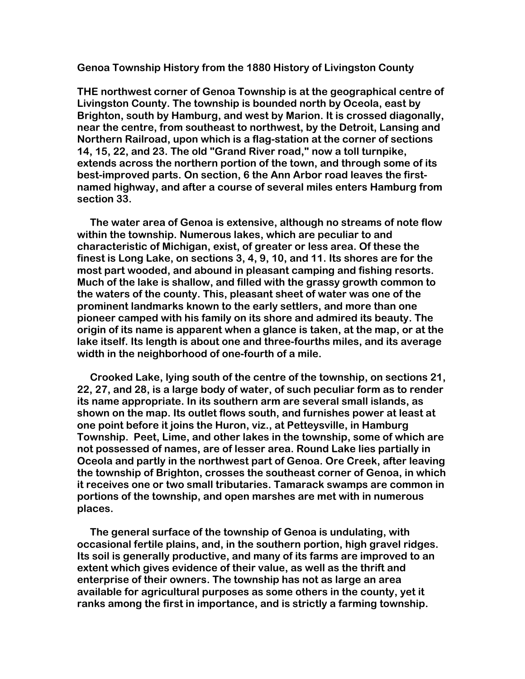**Genoa Township History from the 1880 History of Livingston County** 

**THE northwest corner of Genoa Township is at the geographical centre of Livingston County. The township is bounded north by Oceola, east by Brighton, south by Hamburg, and west by Marion. It is crossed diagonally, near the centre, from southeast to northwest, by the Detroit, Lansing and Northern Railroad, upon which is a flag-station at the corner of sections 14, 15, 22, and 23. The old "Grand River road," now a toll turnpike, extends across the northern portion of the town, and through some of its best-improved parts. On section, 6 the Ann Arbor road leaves the firstnamed highway, and after a course of several miles enters Hamburg from section 33.** 

 **The water area of Genoa is extensive, although no streams of note flow within the township. Numerous lakes, which are peculiar to and characteristic of Michigan, exist, of greater or less area. Of these the finest is Long Lake, on sections 3, 4, 9, 10, and 11. Its shores are for the most part wooded, and abound in pleasant camping and fishing resorts. Much of the lake is shallow, and filled with the grassy growth common to the waters of the county. This, pleasant sheet of water was one of the prominent landmarks known to the early settlers, and more than one pioneer camped with his family on its shore and admired its beauty. The origin of its name is apparent when a glance is taken, at the map, or at the lake itself. Its length is about one and three-fourths miles, and its average width in the neighborhood of one-fourth of a mile.** 

 **Crooked Lake, lying south of the centre of the township, on sections 21, 22, 27, and 28, is a large body of water, of such peculiar form as to render its name appropriate. In its southern arm are several small islands, as shown on the map. Its outlet flows south, and furnishes power at least at one point before it joins the Huron, viz., at Petteysville, in Hamburg Township. Peet, Lime, and other lakes in the township, some of which are not possessed of names, are of lesser area. Round Lake lies partially in Oceola and partly in the northwest part of Genoa. Ore Creek, after leaving the township of Brighton, crosses the southeast corner of Genoa, in which it receives one or two small tributaries. Tamarack swamps are common in portions of the township, and open marshes are met with in numerous places.** 

 **The general surface of the township of Genoa is undulating, with occasional fertile plains, and, in the southern portion, high gravel ridges. Its soil is generally productive, and many of its farms are improved to an extent which gives evidence of their value, as well as the thrift and enterprise of their owners. The township has not as large an area available for agricultural purposes as some others in the county, yet it ranks among the first in importance, and is strictly a farming township.**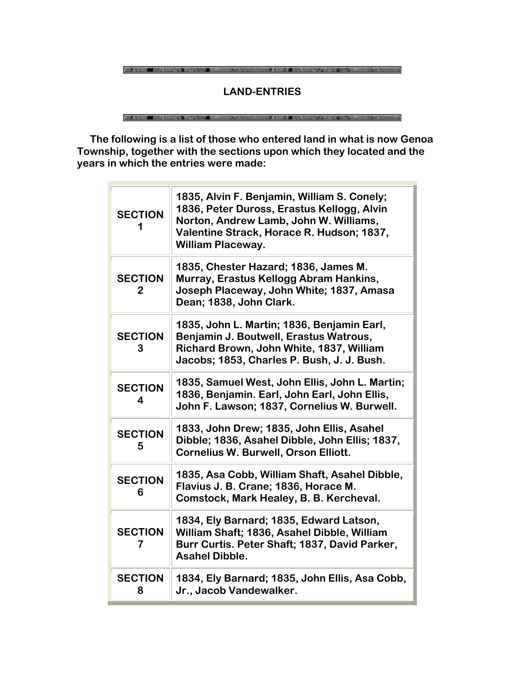THE ANNUAL MARKET WANTED A STREET FOR THE ANNUAL MARKET CONTRACT OF THE STREET WAS ARRESTED FOR

# **LAND-ENTRIES**

**BUILDING THE STREET WANTED CONTINUES AND INCOME.** AUSTIN MENTAL CONTRACTOR

 **The following is a list of those who entered land in what is now Genoa Township, together with the sections upon which they located and the years in which the entries were made:**

| <b>SECTION</b>      | 1835, Alvin F. Benjamin, William S. Conely;<br>1836, Peter Duross, Erastus Kellogg, Alvin<br>Norton, Andrew Lamb, John W. Williams,<br>Valentine Strack, Horace R. Hudson; 1837,<br><b>William Placeway.</b> |
|---------------------|--------------------------------------------------------------------------------------------------------------------------------------------------------------------------------------------------------------|
| <b>SECTION</b><br>2 | 1835, Chester Hazard; 1836, James M.<br>Murray, Erastus Kellogg Abram Hankins,<br>Joseph Placeway, John White; 1837, Amasa<br>Dean; 1838, John Clark.                                                        |
| <b>SECTION</b><br>З | 1835, John L. Martin; 1836, Benjamin Earl,<br>Benjamin J. Boutwell, Erastus Watrous,<br>Richard Brown, John White, 1837, William<br>Jacobs; 1853, Charles P. Bush, J. J. Bush.                               |
| <b>SECTION</b><br>4 | 1835, Samuel West, John Ellis, John L. Martin;<br>1836, Benjamin. Earl, John Earl, John Ellis,<br>John F. Lawson; 1837, Cornelius W. Burwell.                                                                |
| <b>SECTION</b><br>5 | 1833, John Drew; 1835, John Ellis, Asahel<br>Dibble; 1836, Asahel Dibble, John Ellis; 1837,<br><b>Cornelius W. Burwell, Orson Elliott.</b>                                                                   |
| <b>SECTION</b><br>6 | 1835, Asa Cobb, William Shaft, Asahel Dibble,<br>Flavius J. B. Crane; 1836, Horace M.<br>Comstock, Mark Healey, B. B. Kercheval.                                                                             |
| <b>SECTION</b>      | 1834, Ely Barnard; 1835, Edward Latson,<br>William Shaft; 1836, Asahel Dibble, William<br>Burr Curtis. Peter Shaft; 1837, David Parker,<br><b>Asahel Dibble.</b>                                             |
| <b>SECTION</b><br>8 | 1834, Ely Barnard; 1835, John Ellis, Asa Cobb,<br>Jr., Jacob Vandewalker.                                                                                                                                    |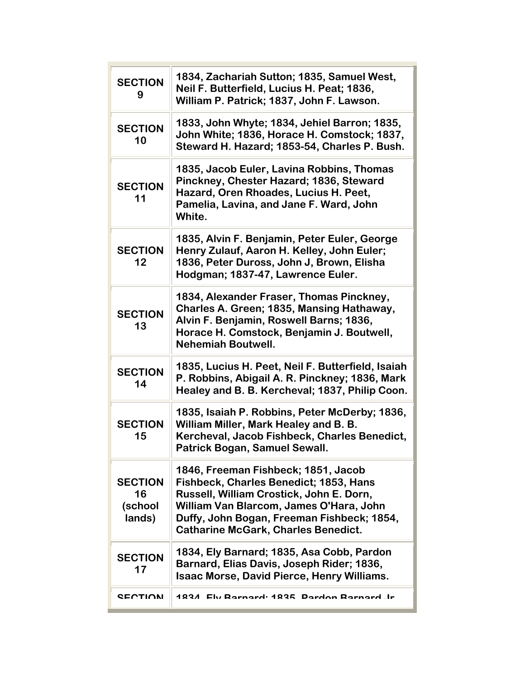| <b>SECTION</b><br>9                       | 1834, Zachariah Sutton; 1835, Samuel West,<br>Neil F. Butterfield, Lucius H. Peat; 1836,<br>William P. Patrick; 1837, John F. Lawson.                                                                                                                            |
|-------------------------------------------|------------------------------------------------------------------------------------------------------------------------------------------------------------------------------------------------------------------------------------------------------------------|
| <b>SECTION</b><br>10                      | 1833, John Whyte; 1834, Jehiel Barron; 1835,<br>John White; 1836, Horace H. Comstock; 1837,<br>Steward H. Hazard; 1853-54, Charles P. Bush.                                                                                                                      |
| <b>SECTION</b><br>11                      | 1835, Jacob Euler, Lavina Robbins, Thomas<br>Pinckney, Chester Hazard; 1836, Steward<br>Hazard, Oren Rhoades, Lucius H. Peet,<br>Pamelia, Lavina, and Jane F. Ward, John<br>White.                                                                               |
| <b>SECTION</b><br>12                      | 1835, Alvin F. Benjamin, Peter Euler, George<br>Henry Zulauf, Aaron H. Kelley, John Euler;<br>1836, Peter Duross, John J, Brown, Elisha<br>Hodgman; 1837-47, Lawrence Euler.                                                                                     |
| <b>SECTION</b><br>13                      | 1834, Alexander Fraser, Thomas Pinckney,<br>Charles A. Green; 1835, Mansing Hathaway,<br>Alvin F. Benjamin, Roswell Barns; 1836,<br>Horace H. Comstock, Benjamin J. Boutwell,<br><b>Nehemiah Boutwell.</b>                                                       |
| <b>SECTION</b><br>14                      | 1835, Lucius H. Peet, Neil F. Butterfield, Isaiah<br>P. Robbins, Abigail A. R. Pinckney; 1836, Mark<br>Healey and B. B. Kercheval; 1837, Philip Coon.                                                                                                            |
| <b>SECTION</b><br>15                      | 1835, Isaiah P. Robbins, Peter McDerby; 1836,<br>William Miller, Mark Healey and B. B.<br>Kercheval, Jacob Fishbeck, Charles Benedict,<br><b>Patrick Bogan, Samuel Sewall</b>                                                                                    |
| <b>SECTION</b><br>16<br>(school<br>lands) | 1846, Freeman Fishbeck; 1851, Jacob<br>Fishbeck, Charles Benedict; 1853, Hans<br>Russell, William Crostick, John E. Dorn,<br>William Van Blarcom, James O'Hara, John<br>Duffy, John Bogan, Freeman Fishbeck; 1854,<br><b>Catharine McGark, Charles Benedict.</b> |
| <b>SECTION</b><br>17                      | 1834, Ely Barnard; 1835, Asa Cobb, Pardon<br>Barnard, Elias Davis, Joseph Rider; 1836,<br><b>Isaac Morse, David Pierce, Henry Williams.</b>                                                                                                                      |
| <b>SECTION</b>                            | 1834 Ely Barnard: 1835, Pardon Barnard, Ir                                                                                                                                                                                                                       |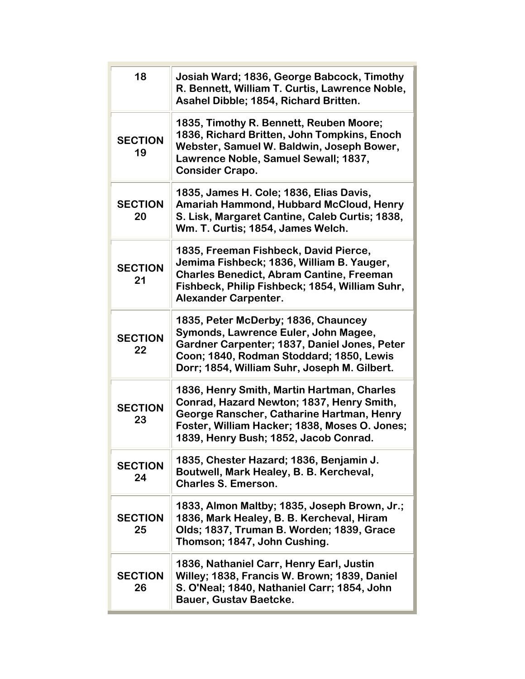| 18                   | Josiah Ward; 1836, George Babcock, Timothy<br>R. Bennett, William T. Curtis, Lawrence Noble,<br>Asahel Dibble; 1854, Richard Britten.                                                                                          |
|----------------------|--------------------------------------------------------------------------------------------------------------------------------------------------------------------------------------------------------------------------------|
| <b>SECTION</b><br>19 | 1835, Timothy R. Bennett, Reuben Moore;<br>1836, Richard Britten, John Tompkins, Enoch<br>Webster, Samuel W. Baldwin, Joseph Bower,<br>Lawrence Noble, Samuel Sewall; 1837,<br><b>Consider Crapo.</b>                          |
| <b>SECTION</b><br>20 | 1835, James H. Cole; 1836, Elias Davis,<br>Amariah Hammond, Hubbard McCloud, Henry<br>S. Lisk, Margaret Cantine, Caleb Curtis; 1838,<br>Wm. T. Curtis; 1854, James Welch.                                                      |
| <b>SECTION</b><br>21 | 1835, Freeman Fishbeck, David Pierce,<br>Jemima Fishbeck; 1836, William B. Yauger,<br><b>Charles Benedict, Abram Cantine, Freeman</b><br>Fishbeck, Philip Fishbeck; 1854, William Suhr,<br><b>Alexander Carpenter.</b>         |
| <b>SECTION</b><br>22 | 1835, Peter McDerby; 1836, Chauncey<br>Symonds, Lawrence Euler, John Magee,<br>Gardner Carpenter; 1837, Daniel Jones, Peter<br>Coon; 1840, Rodman Stoddard; 1850, Lewis<br>Dorr; 1854, William Suhr, Joseph M. Gilbert.        |
| <b>SECTION</b><br>23 | 1836, Henry Smith, Martin Hartman, Charles<br>Conrad, Hazard Newton; 1837, Henry Smith,<br>George Ranscher, Catharine Hartman, Henry<br>Foster, William Hacker; 1838, Moses O. Jones;<br>1839, Henry Bush; 1852, Jacob Conrad. |
| <b>SECTION</b><br>24 | 1835, Chester Hazard; 1836, Benjamin J.<br>Boutwell, Mark Healey, B. B. Kercheval,<br><b>Charles S. Emerson.</b>                                                                                                               |
| <b>SECTION</b><br>25 | 1833, Almon Maltby; 1835, Joseph Brown, Jr.;<br>1836, Mark Healey, B. B. Kercheval, Hiram<br>Olds; 1837, Truman B. Worden; 1839, Grace<br>Thomson; 1847, John Cushing.                                                         |
| <b>SECTION</b><br>26 | 1836, Nathaniel Carr, Henry Earl, Justin<br>Willey; 1838, Francis W. Brown; 1839, Daniel<br>S. O'Neal; 1840, Nathaniel Carr; 1854, John<br><b>Bauer, Gustav Baetcke.</b>                                                       |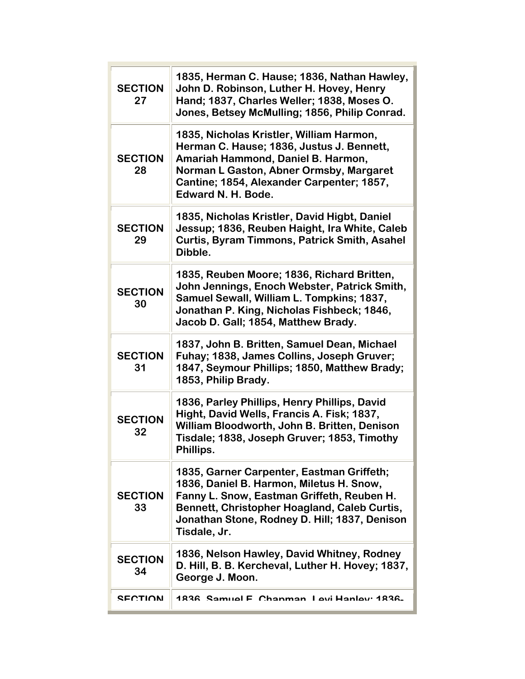| <b>SECTION</b><br>27 | 1835, Herman C. Hause; 1836, Nathan Hawley,<br>John D. Robinson, Luther H. Hovey, Henry<br>Hand; 1837, Charles Weller; 1838, Moses O.<br>Jones, Betsey McMulling; 1856, Philip Conrad.                                                               |
|----------------------|------------------------------------------------------------------------------------------------------------------------------------------------------------------------------------------------------------------------------------------------------|
| <b>SECTION</b><br>28 | 1835, Nicholas Kristler, William Harmon,<br>Herman C. Hause; 1836, Justus J. Bennett,<br>Amariah Hammond, Daniel B. Harmon,<br>Norman L Gaston, Abner Ormsby, Margaret<br>Cantine; 1854, Alexander Carpenter; 1857,<br>Edward N. H. Bode.            |
| <b>SECTION</b><br>29 | 1835, Nicholas Kristler, David Higbt, Daniel<br>Jessup; 1836, Reuben Haight, Ira White, Caleb<br><b>Curtis, Byram Timmons, Patrick Smith, Asahel</b><br>Dibble.                                                                                      |
| <b>SECTION</b><br>30 | 1835, Reuben Moore; 1836, Richard Britten,<br>John Jennings, Enoch Webster, Patrick Smith,<br>Samuel Sewall, William L. Tompkins; 1837,<br>Jonathan P. King, Nicholas Fishbeck; 1846,<br>Jacob D. Gall; 1854, Matthew Brady.                         |
| <b>SECTION</b><br>31 | 1837, John B. Britten, Samuel Dean, Michael<br>Fuhay; 1838, James Collins, Joseph Gruver;<br>1847, Seymour Phillips; 1850, Matthew Brady;<br>1853, Philip Brady.                                                                                     |
| <b>SECTION</b><br>32 | 1836, Parley Phillips, Henry Phillips, David<br>Hight, David Wells, Francis A. Fisk; 1837,<br>William Bloodworth, John B. Britten, Denison<br>Tisdale; 1838, Joseph Gruver; 1853, Timothy<br>Phillips.                                               |
| <b>SECTION</b><br>33 | 1835, Garner Carpenter, Eastman Griffeth;<br>1836, Daniel B. Harmon, Miletus H. Snow,<br>Fanny L. Snow, Eastman Griffeth, Reuben H.<br>Bennett, Christopher Hoagland, Caleb Curtis,<br>Jonathan Stone, Rodney D. Hill; 1837, Denison<br>Tisdale, Jr. |
| <b>SECTION</b><br>34 | 1836, Nelson Hawley, David Whitney, Rodney<br>D. Hill, B. B. Kercheval, Luther H. Hovey; 1837,<br>George J. Moon.                                                                                                                                    |
| <b>SECTION</b>       | 1836 Samuel E. Chanman, Levi Hanley: 1836                                                                                                                                                                                                            |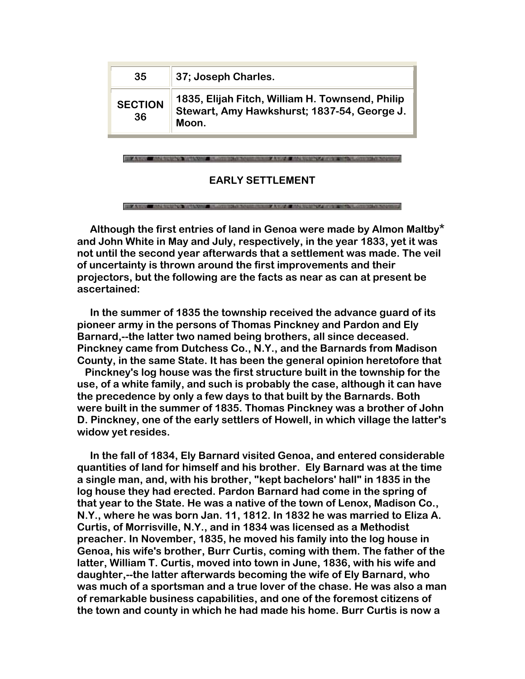| 35             | 37; Joseph Charles.                                                                            |
|----------------|------------------------------------------------------------------------------------------------|
| <b>SECTION</b> | 1835, Elijah Fitch, William H. Townsend, Philip<br>Stewart, Amy Hawkshurst; 1837-54, George J. |
| 36             | Moon.                                                                                          |

### **EARLY SETTLEMENT**

 **Although the first entries of land in Genoa were made by Almon Maltby\* and John White in May and July, respectively, in the year 1833, yet it was not until the second year afterwards that a settlement was made. The veil of uncertainty is thrown around the first improvements and their projectors, but the following are the facts as near as can at present be ascertained:** 

 **In the summer of 1835 the township received the advance guard of its pioneer army in the persons of Thomas Pinckney and Pardon and Ely Barnard,--the latter two named being brothers, all since deceased. Pinckney came from Dutchess Co., N.Y., and the Barnards from Madison County, in the same State. It has been the general opinion heretofore that** 

 **Pinckney's log house was the first structure built in the township for the use, of a white family, and such is probably the case, although it can have the precedence by only a few days to that built by the Barnards. Both were built in the summer of 1835. Thomas Pinckney was a brother of John D. Pinckney, one of the early settlers of Howell, in which village the latter's widow yet resides.** 

 **In the fall of 1834, Ely Barnard visited Genoa, and entered considerable quantities of land for himself and his brother. Ely Barnard was at the time a single man, and, with his brother, "kept bachelors' hall" in 1835 in the log house they had erected. Pardon Barnard had come in the spring of that year to the State. He was a native of the town of Lenox, Madison Co., N.Y., where he was born Jan. 11, 1812. In 1832 he was married to Eliza A. Curtis, of Morrisville, N.Y., and in 1834 was licensed as a Methodist preacher. In November, 1835, he moved his family into the log house in Genoa, his wife's brother, Burr Curtis, coming with them. The father of the latter, William T. Curtis, moved into town in June, 1836, with his wife and daughter,--the latter afterwards becoming the wife of Ely Barnard, who was much of a sportsman and a true lover of the chase. He was also a man of remarkable business capabilities, and one of the foremost citizens of the town and county in which he had made his home. Burr Curtis is now a**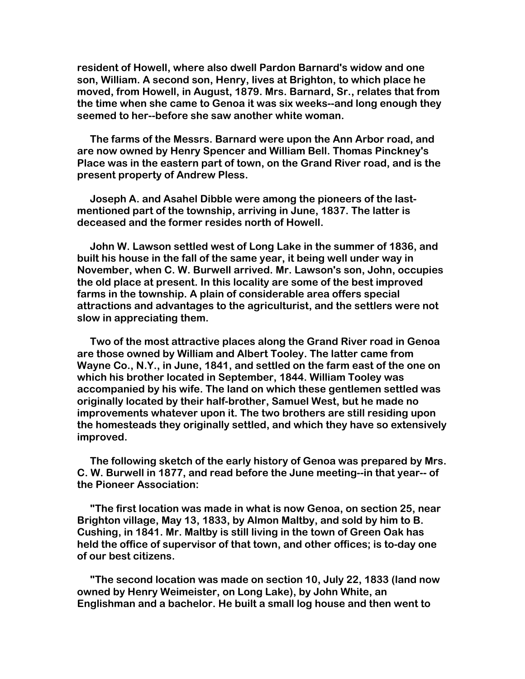**resident of Howell, where also dwell Pardon Barnard's widow and one son, William. A second son, Henry, lives at Brighton, to which place he moved, from Howell, in August, 1879. Mrs. Barnard, Sr., relates that from the time when she came to Genoa it was six weeks--and long enough they seemed to her--before she saw another white woman.** 

 **The farms of the Messrs. Barnard were upon the Ann Arbor road, and are now owned by Henry Spencer and William Bell. Thomas Pinckney's Place was in the eastern part of town, on the Grand River road, and is the present property of Andrew Pless.** 

 **Joseph A. and Asahel Dibble were among the pioneers of the lastmentioned part of the township, arriving in June, 1837. The latter is deceased and the former resides north of Howell.** 

 **John W. Lawson settled west of Long Lake in the summer of 1836, and built his house in the fall of the same year, it being well under way in November, when C. W. Burwell arrived. Mr. Lawson's son, John, occupies the old place at present. In this locality are some of the best improved farms in the township. A plain of considerable area offers special attractions and advantages to the agriculturist, and the settlers were not slow in appreciating them.** 

 **Two of the most attractive places along the Grand River road in Genoa are those owned by William and Albert Tooley. The latter came from Wayne Co., N.Y., in June, 1841, and settled on the farm east of the one on which his brother located in September, 1844. William Tooley was accompanied by his wife. The land on which these gentlemen settled was originally located by their half-brother, Samuel West, but he made no improvements whatever upon it. The two brothers are still residing upon the homesteads they originally settled, and which they have so extensively improved.**

 **The following sketch of the early history of Genoa was prepared by Mrs. C. W. Burwell in 1877, and read before the June meeting--in that year-- of the Pioneer Association:** 

 **"The first location was made in what is now Genoa, on section 25, near Brighton village, May 13, 1833, by Almon Maltby, and sold by him to B. Cushing, in 1841. Mr. Maltby is still living in the town of Green Oak has held the office of supervisor of that town, and other offices; is to-day one of our best citizens.** 

 **"The second location was made on section 10, July 22, 1833 (land now owned by Henry Weimeister, on Long Lake), by John White, an Englishman and a bachelor. He built a small log house and then went to**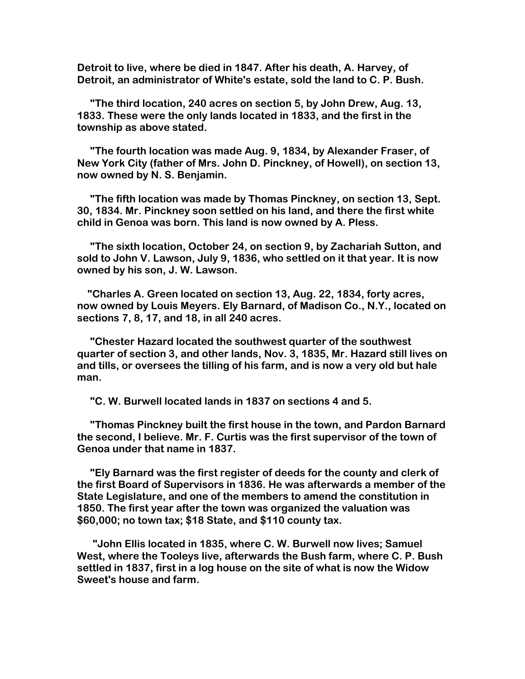**Detroit to live, where be died in 1847. After his death, A. Harvey, of Detroit, an administrator of White's estate, sold the land to C. P. Bush.** 

 **"The third location, 240 acres on section 5, by John Drew, Aug. 13, 1833. These were the only lands located in 1833, and the first in the township as above stated.** 

 **"The fourth location was made Aug. 9, 1834, by Alexander Fraser, of New York City (father of Mrs. John D. Pinckney, of Howell), on section 13, now owned by N. S. Benjamin.** 

 **"The fifth location was made by Thomas Pinckney, on section 13, Sept. 30, 1834. Mr. Pinckney soon settled on his land, and there the first white child in Genoa was born. This land is now owned by A. Pless.** 

 **"The sixth location, October 24, on section 9, by Zachariah Sutton, and sold to John V. Lawson, July 9, 1836, who settled on it that year. It is now owned by his son, J. W. Lawson.** 

 **"Charles A. Green located on section 13, Aug. 22, 1834, forty acres, now owned by Louis Meyers. Ely Barnard, of Madison Co., N.Y., located on sections 7, 8, 17, and 18, in all 240 acres.** 

 **"Chester Hazard located the southwest quarter of the southwest quarter of section 3, and other lands, Nov. 3, 1835, Mr. Hazard still lives on and tills, or oversees the tilling of his farm, and is now a very old but hale man.** 

 **"C. W. Burwell located lands in 1837 on sections 4 and 5.** 

 **"Thomas Pinckney built the first house in the town, and Pardon Barnard the second, I believe. Mr. F. Curtis was the first supervisor of the town of Genoa under that name in 1837.** 

 **"Ely Barnard was the first register of deeds for the county and clerk of the first Board of Supervisors in 1836. He was afterwards a member of the State Legislature, and one of the members to amend the constitution in 1850. The first year after the town was organized the valuation was \$60,000; no town tax; \$18 State, and \$110 county tax.** 

 **"John Ellis located in 1835, where C. W. Burwell now lives; Samuel West, where the Tooleys live, afterwards the Bush farm, where C. P. Bush settled in 1837, first in a log house on the site of what is now the Widow Sweet's house and farm.**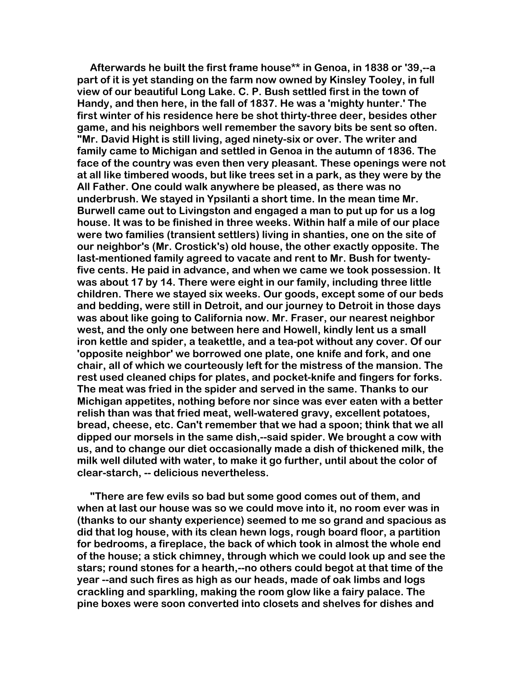**Afterwards he built the first frame house\*\* in Genoa, in 1838 or '39,--a part of it is yet standing on the farm now owned by Kinsley Tooley, in full view of our beautiful Long Lake. C. P. Bush settled first in the town of Handy, and then here, in the fall of 1837. He was a 'mighty hunter.' The first winter of his residence here be shot thirty-three deer, besides other game, and his neighbors well remember the savory bits be sent so often. "Mr. David Hight is still living, aged ninety-six or over. The writer and family came to Michigan and settled in Genoa in the autumn of 1836. The face of the country was even then very pleasant. These openings were not at all like timbered woods, but like trees set in a park, as they were by the All Father. One could walk anywhere be pleased, as there was no underbrush. We stayed in Ypsilanti a short time. In the mean time Mr. Burwell came out to Livingston and engaged a man to put up for us a log house. It was to be finished in three weeks. Within half a mile of our place were two families (transient settlers) living in shanties, one on the site of our neighbor's (Mr. Crostick's) old house, the other exactly opposite. The last-mentioned family agreed to vacate and rent to Mr. Bush for twentyfive cents. He paid in advance, and when we came we took possession. It was about 17 by 14. There were eight in our family, including three little children. There we stayed six weeks. Our goods, except some of our beds and bedding, were still in Detroit, and our journey to Detroit in those days was about like going to California now. Mr. Fraser, our nearest neighbor west, and the only one between here and Howell, kindly lent us a small iron kettle and spider, a teakettle, and a tea-pot without any cover. Of our 'opposite neighbor' we borrowed one plate, one knife and fork, and one chair, all of which we courteously left for the mistress of the mansion. The rest used cleaned chips for plates, and pocket-knife and fingers for forks. The meat was fried in the spider and served in the same. Thanks to our Michigan appetites, nothing before nor since was ever eaten with a better relish than was that fried meat, well-watered gravy, excellent potatoes, bread, cheese, etc. Can't remember that we had a spoon; think that we all dipped our morsels in the same dish,--said spider. We brought a cow with us, and to change our diet occasionally made a dish of thickened milk, the milk well diluted with water, to make it go further, until about the color of clear-starch, -- delicious nevertheless.** 

 **"There are few evils so bad but some good comes out of them, and when at last our house was so we could move into it, no room ever was in (thanks to our shanty experience) seemed to me so grand and spacious as did that log house, with its clean hewn logs, rough board floor, a partition for bedrooms, a fireplace, the back of which took in almost the whole end of the house; a stick chimney, through which we could look up and see the stars; round stones for a hearth,--no others could begot at that time of the year --and such fires as high as our heads, made of oak limbs and logs crackling and sparkling, making the room glow like a fairy palace. The pine boxes were soon converted into closets and shelves for dishes and**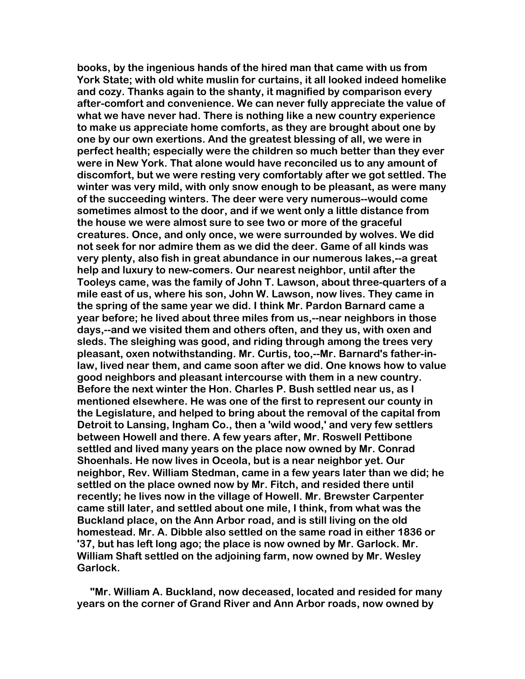**books, by the ingenious hands of the hired man that came with us from York State; with old white muslin for curtains, it all looked indeed homelike and cozy. Thanks again to the shanty, it magnified by comparison every after-comfort and convenience. We can never fully appreciate the value of what we have never had. There is nothing like a new country experience to make us appreciate home comforts, as they are brought about one by one by our own exertions. And the greatest blessing of all, we were in perfect health; especially were the children so much better than they ever were in New York. That alone would have reconciled us to any amount of discomfort, but we were resting very comfortably after we got settled. The winter was very mild, with only snow enough to be pleasant, as were many of the succeeding winters. The deer were very numerous--would come sometimes almost to the door, and if we went only a little distance from the house we were almost sure to see two or more of the graceful creatures. Once, and only once, we were surrounded by wolves. We did not seek for nor admire them as we did the deer. Game of all kinds was very plenty, also fish in great abundance in our numerous lakes,--a great help and luxury to new-comers. Our nearest neighbor, until after the Tooleys came, was the family of John T. Lawson, about three-quarters of a mile east of us, where his son, John W. Lawson, now lives. They came in the spring of the same year we did. I think Mr. Pardon Barnard came a year before; he lived about three miles from us,--near neighbors in those days,--and we visited them and others often, and they us, with oxen and sleds. The sleighing was good, and riding through among the trees very pleasant, oxen notwithstanding. Mr. Curtis, too,--Mr. Barnard's father-inlaw, lived near them, and came soon after we did. One knows how to value good neighbors and pleasant intercourse with them in a new country. Before the next winter the Hon. Charles P. Bush settled near us, as I mentioned elsewhere. He was one of the first to represent our county in the Legislature, and helped to bring about the removal of the capital from Detroit to Lansing, Ingham Co., then a 'wild wood,' and very few settlers between Howell and there. A few years after, Mr. Roswell Pettibone settled and lived many years on the place now owned by Mr. Conrad Shoenhals. He now lives in Oceola, but is a near neighbor yet. Our neighbor, Rev. William Stedman, came in a few years later than we did; he settled on the place owned now by Mr. Fitch, and resided there until recently; he lives now in the village of Howell. Mr. Brewster Carpenter came still later, and settled about one mile, I think, from what was the Buckland place, on the Ann Arbor road, and is still living on the old homestead. Mr. A. Dibble also settled on the same road in either 1836 or '37, but has left long ago; the place is now owned by Mr. Garlock. Mr. William Shaft settled on the adjoining farm, now owned by Mr. Wesley Garlock.** 

 **"Mr. William A. Buckland, now deceased, located and resided for many years on the corner of Grand River and Ann Arbor roads, now owned by**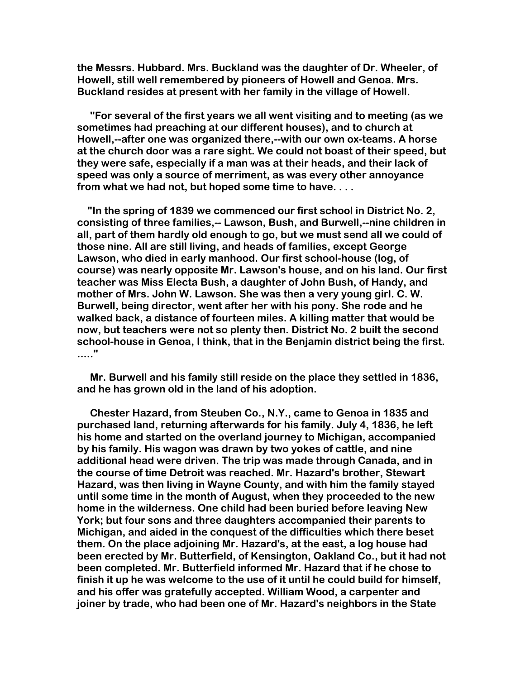**the Messrs. Hubbard. Mrs. Buckland was the daughter of Dr. Wheeler, of Howell, still well remembered by pioneers of Howell and Genoa. Mrs. Buckland resides at present with her family in the village of Howell.** 

 **"For several of the first years we all went visiting and to meeting (as we sometimes had preaching at our different houses), and to church at Howell,--after one was organized there,--with our own ox-teams. A horse at the church door was a rare sight. We could not boast of their speed, but they were safe, especially if a man was at their heads, and their lack of speed was only a source of merriment, as was every other annoyance from what we had not, but hoped some time to have. . . .** 

 **"In the spring of 1839 we commenced our first school in District No. 2, consisting of three families,-- Lawson, Bush, and Burwell,--nine children in all, part of them hardly old enough to go, but we must send all we could of those nine. All are still living, and heads of families, except George Lawson, who died in early manhood. Our first school-house (log, of course) was nearly opposite Mr. Lawson's house, and on his land. Our first teacher was Miss Electa Bush, a daughter of John Bush, of Handy, and mother of Mrs. John W. Lawson. She was then a very young girl. C. W. Burwell, being director, went after her with his pony. She rode and he walked back, a distance of fourteen miles. A killing matter that would be now, but teachers were not so plenty then. District No. 2 built the second school-house in Genoa, I think, that in the Benjamin district being the first. ....."** 

 **Mr. Burwell and his family still reside on the place they settled in 1836, and he has grown old in the land of his adoption.** 

 **Chester Hazard, from Steuben Co., N.Y., came to Genoa in 1835 and purchased land, returning afterwards for his family. July 4, 1836, he left his home and started on the overland journey to Michigan, accompanied by his family. His wagon was drawn by two yokes of cattle, and nine additional head were driven. The trip was made through Canada, and in the course of time Detroit was reached. Mr. Hazard's brother, Stewart Hazard, was then living in Wayne County, and with him the family stayed until some time in the month of August, when they proceeded to the new home in the wilderness. One child had been buried before leaving New York; but four sons and three daughters accompanied their parents to Michigan, and aided in the conquest of the difficulties which there beset them. On the place adjoining Mr. Hazard's, at the east, a log house had been erected by Mr. Butterfield, of Kensington, Oakland Co., but it had not been completed. Mr. Butterfield informed Mr. Hazard that if he chose to finish it up he was welcome to the use of it until he could build for himself, and his offer was gratefully accepted. William Wood, a carpenter and joiner by trade, who had been one of Mr. Hazard's neighbors in the State**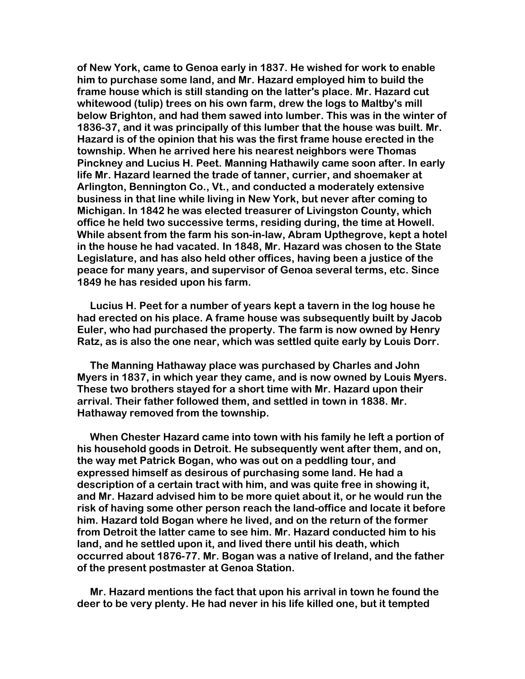**of New York, came to Genoa early in 1837. He wished for work to enable him to purchase some land, and Mr. Hazard employed him to build the frame house which is still standing on the latter's place. Mr. Hazard cut whitewood (tulip) trees on his own farm, drew the logs to Maltby's mill below Brighton, and had them sawed into lumber. This was in the winter of 1836-37, and it was principally of this lumber that the house was built. Mr. Hazard is of the opinion that his was the first frame house erected in the township. When he arrived here his nearest neighbors were Thomas Pinckney and Lucius H. Peet. Manning Hathawily came soon after. In early life Mr. Hazard learned the trade of tanner, currier, and shoemaker at Arlington, Bennington Co., Vt., and conducted a moderately extensive business in that line while living in New York, but never after coming to Michigan. In 1842 he was elected treasurer of Livingston County, which office he held two successive terms, residing during, the time at Howell. While absent from the farm his son-in-law, Abram Upthegrove, kept a hotel in the house he had vacated. In 1848, Mr. Hazard was chosen to the State Legislature, and has also held other offices, having been a justice of the peace for many years, and supervisor of Genoa several terms, etc. Since 1849 he has resided upon his farm.** 

 **Lucius H. Peet for a number of years kept a tavern in the log house he had erected on his place. A frame house was subsequently built by Jacob Euler, who had purchased the property. The farm is now owned by Henry Ratz, as is also the one near, which was settled quite early by Louis Dorr.** 

 **The Manning Hathaway place was purchased by Charles and John Myers in 1837, in which year they came, and is now owned by Louis Myers. These two brothers stayed for a short time with Mr. Hazard upon their arrival. Their father followed them, and settled in town in 1838. Mr. Hathaway removed from the township.** 

 **When Chester Hazard came into town with his family he left a portion of his household goods in Detroit. He subsequently went after them, and on, the way met Patrick Bogan, who was out on a peddling tour, and expressed himself as desirous of purchasing some land. He had a description of a certain tract with him, and was quite free in showing it, and Mr. Hazard advised him to be more quiet about it, or he would run the risk of having some other person reach the land-office and locate it before him. Hazard told Bogan where he lived, and on the return of the former from Detroit the latter came to see him. Mr. Hazard conducted him to his land, and he settled upon it, and lived there until his death, which occurred about 1876-77. Mr. Bogan was a native of Ireland, and the father of the present postmaster at Genoa Station.** 

 **Mr. Hazard mentions the fact that upon his arrival in town he found the deer to be very plenty. He had never in his life killed one, but it tempted**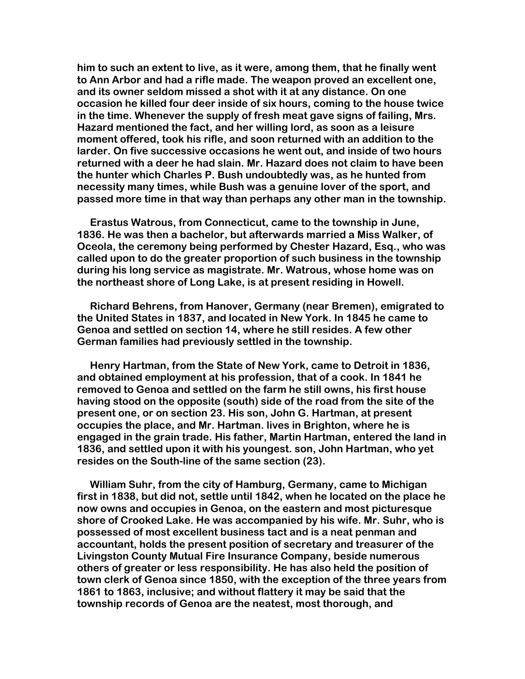**him to such an extent to live, as it were, among them, that he finally went to Ann Arbor and had a rifle made. The weapon proved an excellent one, and its owner seldom missed a shot with it at any distance. On one occasion he killed four deer inside of six hours, coming to the house twice in the time. Whenever the supply of fresh meat gave signs of failing, Mrs. Hazard mentioned the fact, and her willing lord, as soon as a leisure moment offered, took his rifle, and soon returned with an addition to the larder. On five successive occasions he went out, and inside of two hours returned with a deer he had slain. Mr. Hazard does not claim to have been the hunter which Charles P. Bush undoubtedly was, as he hunted from necessity many times, while Bush was a genuine lover of the sport, and passed more time in that way than perhaps any other man in the township.** 

 **Erastus Watrous, from Connecticut, came to the township in June, 1836. He was then a bachelor, but afterwards married a Miss Walker, of Oceola, the ceremony being performed by Chester Hazard, Esq., who was called upon to do the greater proportion of such business in the township during his long service as magistrate. Mr. Watrous, whose home was on the northeast shore of Long Lake, is at present residing in Howell.**

 **Richard Behrens, from Hanover, Germany (near Bremen), emigrated to the United States in 1837, and located in New York. In 1845 he came to Genoa and settled on section 14, where he still resides. A few other German families had previously settled in the township.** 

 **Henry Hartman, from the State of New York, came to Detroit in 1836, and obtained employment at his profession, that of a cook. In 1841 he removed to Genoa and settled on the farm he still owns, his first house having stood on the opposite (south) side of the road from the site of the present one, or on section 23. His son, John G. Hartman, at present occupies the place, and Mr. Hartman. lives in Brighton, where he is engaged in the grain trade. His father, Martin Hartman, entered the land in 1836, and settled upon it with his youngest. son, John Hartman, who yet resides on the South-line of the same section (23).** 

 **William Suhr, from the city of Hamburg, Germany, came to Michigan first in 1838, but did not, settle until 1842, when he located on the place he now owns and occupies in Genoa, on the eastern and most picturesque shore of Crooked Lake. He was accompanied by his wife. Mr. Suhr, who is possessed of most excellent business tact and is a neat penman and accountant, holds the present position of secretary and treasurer of the Livingston County Mutual Fire Insurance Company, beside numerous others of greater or less responsibility. He has also held the position of town clerk of Genoa since 1850, with the exception of the three years from 1861 to 1863, inclusive; and without flattery it may be said that the township records of Genoa are the neatest, most thorough, and**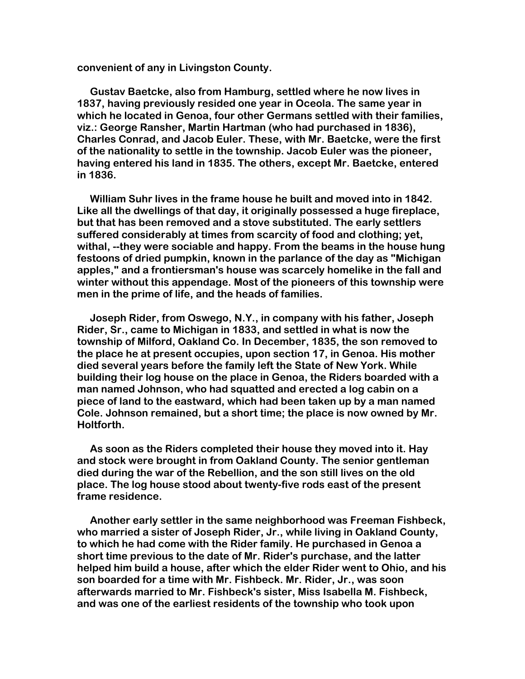**convenient of any in Livingston County.** 

 **Gustav Baetcke, also from Hamburg, settled where he now lives in 1837, having previously resided one year in Oceola. The same year in which he located in Genoa, four other Germans settled with their families, viz.: George Ransher, Martin Hartman (who had purchased in 1836), Charles Conrad, and Jacob Euler. These, with Mr. Baetcke, were the first of the nationality to settle in the township. Jacob Euler was the pioneer, having entered his land in 1835. The others, except Mr. Baetcke, entered in 1836.** 

 **William Suhr lives in the frame house he built and moved into in 1842. Like all the dwellings of that day, it originally possessed a huge fireplace, but that has been removed and a stove substituted. The early settlers suffered considerably at times from scarcity of food and clothing; yet, withal, --they were sociable and happy. From the beams in the house hung festoons of dried pumpkin, known in the parlance of the day as "Michigan apples," and a frontiersman's house was scarcely homelike in the fall and winter without this appendage. Most of the pioneers of this township were men in the prime of life, and the heads of families.** 

 **Joseph Rider, from Oswego, N.Y., in company with his father, Joseph Rider, Sr., came to Michigan in 1833, and settled in what is now the township of Milford, Oakland Co. In December, 1835, the son removed to the place he at present occupies, upon section 17, in Genoa. His mother died several years before the family left the State of New York. While building their log house on the place in Genoa, the Riders boarded with a man named Johnson, who had squatted and erected a log cabin on a piece of land to the eastward, which had been taken up by a man named Cole. Johnson remained, but a short time; the place is now owned by Mr. Holtforth.** 

 **As soon as the Riders completed their house they moved into it. Hay and stock were brought in from Oakland County. The senior gentleman died during the war of the Rebellion, and the son still lives on the old place. The log house stood about twenty-five rods east of the present frame residence.** 

 **Another early settler in the same neighborhood was Freeman Fishbeck, who married a sister of Joseph Rider, Jr., while living in Oakland County, to which he had come with the Rider family. He purchased in Genoa a short time previous to the date of Mr. Rider's purchase, and the latter helped him build a house, after which the elder Rider went to Ohio, and his son boarded for a time with Mr. Fishbeck. Mr. Rider, Jr., was soon afterwards married to Mr. Fishbeck's sister, Miss Isabella M. Fishbeck, and was one of the earliest residents of the township who took upon**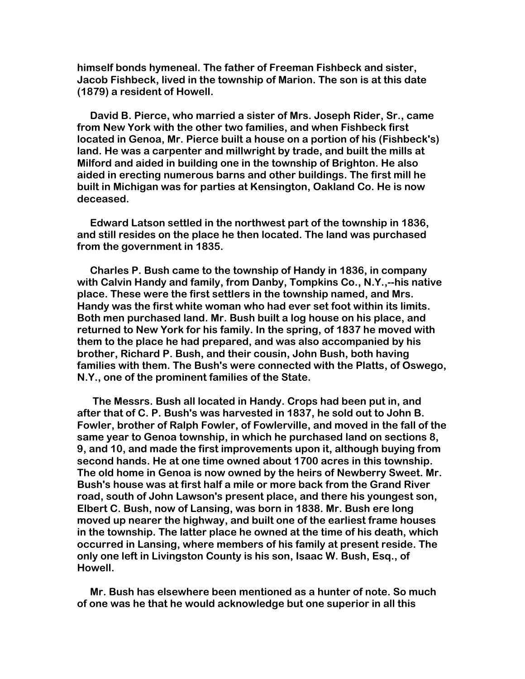**himself bonds hymeneal. The father of Freeman Fishbeck and sister, Jacob Fishbeck, lived in the township of Marion. The son is at this date (1879) a resident of Howell.** 

 **David B. Pierce, who married a sister of Mrs. Joseph Rider, Sr., came from New York with the other two families, and when Fishbeck first located in Genoa, Mr. Pierce built a house on a portion of his (Fishbeck's) land. He was a carpenter and millwright by trade, and built the mills at Milford and aided in building one in the township of Brighton. He also aided in erecting numerous barns and other buildings. The first mill he built in Michigan was for parties at Kensington, Oakland Co. He is now deceased.**

 **Edward Latson settled in the northwest part of the township in 1836, and still resides on the place he then located. The land was purchased from the government in 1835.** 

 **Charles P. Bush came to the township of Handy in 1836, in company with Calvin Handy and family, from Danby, Tompkins Co., N.Y.,--his native place. These were the first settlers in the township named, and Mrs. Handy was the first white woman who had ever set foot within its limits. Both men purchased land. Mr. Bush built a log house on his place, and returned to New York for his family. In the spring, of 1837 he moved with them to the place he had prepared, and was also accompanied by his brother, Richard P. Bush, and their cousin, John Bush, both having families with them. The Bush's were connected with the Platts, of Oswego, N.Y., one of the prominent families of the State.** 

 **The Messrs. Bush all located in Handy. Crops had been put in, and after that of C. P. Bush's was harvested in 1837, he sold out to John B. Fowler, brother of Ralph Fowler, of Fowlerville, and moved in the fall of the same year to Genoa township, in which he purchased land on sections 8, 9, and 10, and made the first improvements upon it, although buying from second hands. He at one time owned about 1700 acres in this township. The old home in Genoa is now owned by the heirs of Newberry Sweet. Mr. Bush's house was at first half a mile or more back from the Grand River road, south of John Lawson's present place, and there his youngest son, Elbert C. Bush, now of Lansing, was born in 1838. Mr. Bush ere long moved up nearer the highway, and built one of the earliest frame houses in the township. The latter place he owned at the time of his death, which occurred in Lansing, where members of his family at present reside. The only one left in Livingston County is his son, Isaac W. Bush, Esq., of Howell.** 

 **Mr. Bush has elsewhere been mentioned as a hunter of note. So much of one was he that he would acknowledge but one superior in all this**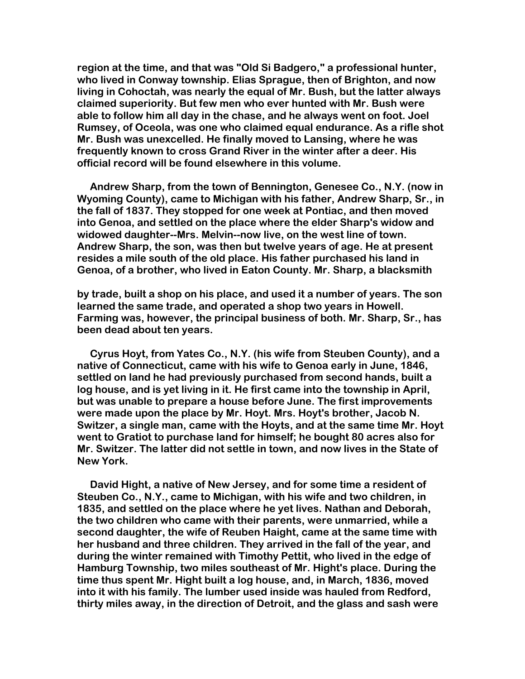**region at the time, and that was "Old Si Badgero," a professional hunter, who lived in Conway township. Elias Sprague, then of Brighton, and now living in Cohoctah, was nearly the equal of Mr. Bush, but the latter always claimed superiority. But few men who ever hunted with Mr. Bush were able to follow him all day in the chase, and he always went on foot. Joel Rumsey, of Oceola, was one who claimed equal endurance. As a rifle shot Mr. Bush was unexcelled. He finally moved to Lansing, where he was frequently known to cross Grand River in the winter after a deer. His official record will be found elsewhere in this volume.** 

 **Andrew Sharp, from the town of Bennington, Genesee Co., N.Y. (now in Wyoming County), came to Michigan with his father, Andrew Sharp, Sr., in the fall of 1837. They stopped for one week at Pontiac, and then moved into Genoa, and settled on the place where the elder Sharp's widow and widowed daughter--Mrs. Melvin--now live, on the west line of town. Andrew Sharp, the son, was then but twelve years of age. He at present resides a mile south of the old place. His father purchased his land in Genoa, of a brother, who lived in Eaton County. Mr. Sharp, a blacksmith**

**by trade, built a shop on his place, and used it a number of years. The son learned the same trade, and operated a shop two years in Howell. Farming was, however, the principal business of both. Mr. Sharp, Sr., has been dead about ten years.** 

 **Cyrus Hoyt, from Yates Co., N.Y. (his wife from Steuben County), and a native of Connecticut, came with his wife to Genoa early in June, 1846, settled on land he had previously purchased from second hands, built a log house, and is yet living in it. He first came into the township in April, but was unable to prepare a house before June. The first improvements were made upon the place by Mr. Hoyt. Mrs. Hoyt's brother, Jacob N. Switzer, a single man, came with the Hoyts, and at the same time Mr. Hoyt went to Gratiot to purchase land for himself; he bought 80 acres also for Mr. Switzer. The latter did not settle in town, and now lives in the State of New York.**

 **David Hight, a native of New Jersey, and for some time a resident of Steuben Co., N.Y., came to Michigan, with his wife and two children, in 1835, and settled on the place where he yet lives. Nathan and Deborah, the two children who came with their parents, were unmarried, while a second daughter, the wife of Reuben Haight, came at the same time with her husband and three children. They arrived in the fall of the year, and during the winter remained with Timothy Pettit, who lived in the edge of Hamburg Township, two miles southeast of Mr. Hight's place. During the time thus spent Mr. Hight built a log house, and, in March, 1836, moved into it with his family. The lumber used inside was hauled from Redford, thirty miles away, in the direction of Detroit, and the glass and sash were**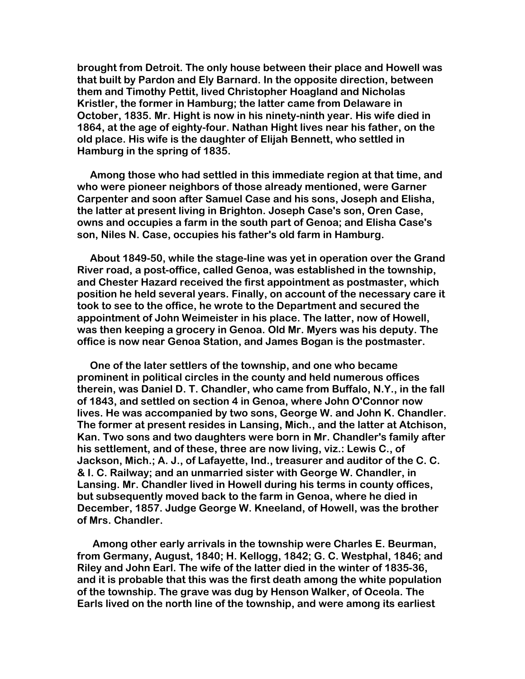**brought from Detroit. The only house between their place and Howell was that built by Pardon and Ely Barnard. In the opposite direction, between them and Timothy Pettit, lived Christopher Hoagland and Nicholas Kristler, the former in Hamburg; the latter came from Delaware in October, 1835. Mr. Hight is now in his ninety-ninth year. His wife died in 1864, at the age of eighty-four. Nathan Hight lives near his father, on the old place. His wife is the daughter of Elijah Bennett, who settled in Hamburg in the spring of 1835.** 

 **Among those who had settled in this immediate region at that time, and who were pioneer neighbors of those already mentioned, were Garner Carpenter and soon after Samuel Case and his sons, Joseph and Elisha, the latter at present living in Brighton. Joseph Case's son, Oren Case, owns and occupies a farm in the south part of Genoa; and Elisha Case's son, Niles N. Case, occupies his father's old farm in Hamburg.** 

 **About 1849-50, while the stage-line was yet in operation over the Grand River road, a post-office, called Genoa, was established in the township, and Chester Hazard received the first appointment as postmaster, which position he held several years. Finally, on account of the necessary care it took to see to the office, he wrote to the Department and secured the appointment of John Weimeister in his place. The latter, now of Howell, was then keeping a grocery in Genoa. Old Mr. Myers was his deputy. The office is now near Genoa Station, and James Bogan is the postmaster.** 

 **One of the later settlers of the township, and one who became prominent in political circles in the county and held numerous offices therein, was Daniel D. T. Chandler, who came from Buffalo, N.Y., in the fall of 1843, and settled on section 4 in Genoa, where John O'Connor now lives. He was accompanied by two sons, George W. and John K. Chandler. The former at present resides in Lansing, Mich., and the latter at Atchison, Kan. Two sons and two daughters were born in Mr. Chandler's family after his settlement, and of these, three are now living, viz.: Lewis C., of Jackson, Mich.; A. J., of Lafayette, Ind., treasurer and auditor of the C. C. & I. C. Railway; and an unmarried sister with George W. Chandler, in Lansing. Mr. Chandler lived in Howell during his terms in county offices, but subsequently moved back to the farm in Genoa, where he died in December, 1857. Judge George W. Kneeland, of Howell, was the brother of Mrs. Chandler.** 

 **Among other early arrivals in the township were Charles E. Beurman, from Germany, August, 1840; H. Kellogg, 1842; G. C. Westphal, 1846; and Riley and John Earl. The wife of the latter died in the winter of 1835-36, and it is probable that this was the first death among the white population of the township. The grave was dug by Henson Walker, of Oceola. The Earls lived on the north line of the township, and were among its earliest**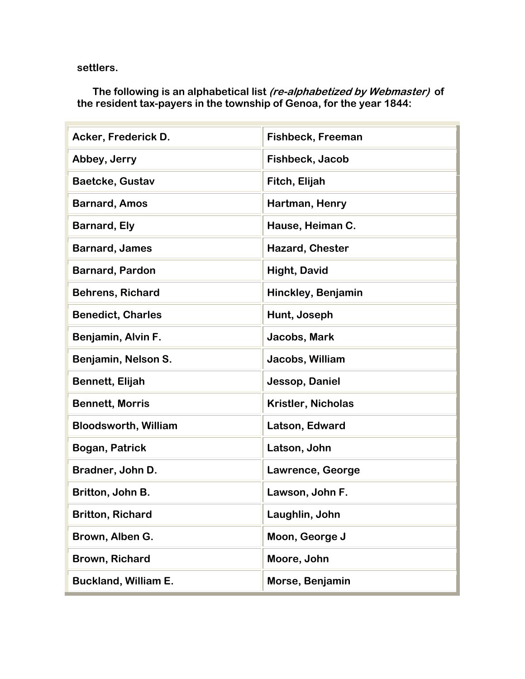**settlers.** 

 **The following is an alphabetical list (re-alphabetized by Webmaster) of the resident tax-payers in the township of Genoa, for the year 1844:**

| Acker, Frederick D.         | <b>Fishbeck, Freeman</b>  |
|-----------------------------|---------------------------|
| Abbey, Jerry                | Fishbeck, Jacob           |
| <b>Baetcke, Gustav</b>      | Fitch, Elijah             |
| <b>Barnard, Amos</b>        | Hartman, Henry            |
| <b>Barnard, Ely</b>         | Hause, Heiman C.          |
| <b>Barnard, James</b>       | <b>Hazard, Chester</b>    |
| <b>Barnard, Pardon</b>      | <b>Hight, David</b>       |
| <b>Behrens, Richard</b>     | Hinckley, Benjamin        |
| <b>Benedict, Charles</b>    | Hunt, Joseph              |
| Benjamin, Alvin F.          | Jacobs, Mark              |
| Benjamin, Nelson S.         | Jacobs, William           |
| <b>Bennett, Elijah</b>      | Jessop, Daniel            |
| <b>Bennett, Morris</b>      | <b>Kristler, Nicholas</b> |
| <b>Bloodsworth, William</b> | Latson, Edward            |
| Bogan, Patrick              | Latson, John              |
| Bradner, John D.            | Lawrence, George          |
| Britton, John B.            | Lawson, John F.           |
| <b>Britton, Richard</b>     | Laughlin, John            |
| Brown, Alben G.             | Moon, George J            |
| <b>Brown, Richard</b>       | Moore, John               |
| <b>Buckland, William E.</b> | Morse, Benjamin           |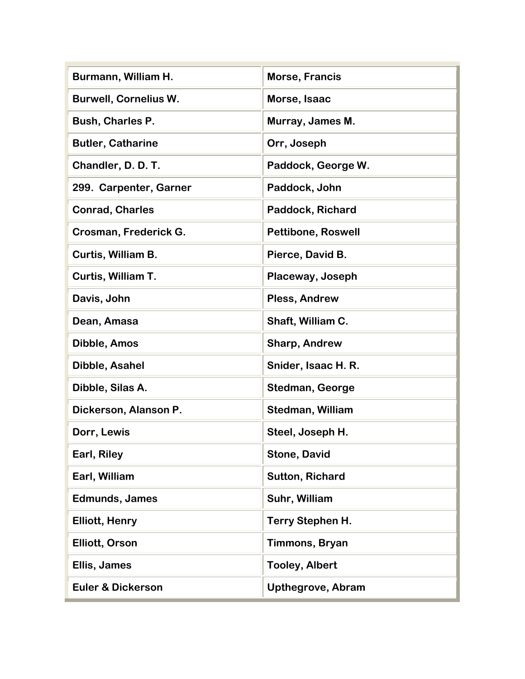| Burmann, William H.          | Morse, Francis            |
|------------------------------|---------------------------|
| <b>Burwell, Cornelius W.</b> | Morse, Isaac              |
| <b>Bush, Charles P.</b>      | Murray, James M.          |
| <b>Butler, Catharine</b>     | Orr, Joseph               |
| Chandler, D. D. T.           | Paddock, George W.        |
| 299. Carpenter, Garner       | Paddock, John             |
| <b>Conrad, Charles</b>       | Paddock, Richard          |
| Crosman, Frederick G.        | <b>Pettibone, Roswell</b> |
| Curtis, William B.           | Pierce, David B.          |
| Curtis, William T.           | Placeway, Joseph          |
| Davis, John                  | <b>Pless, Andrew</b>      |
| Dean, Amasa                  | Shaft, William C.         |
| Dibble, Amos                 | <b>Sharp, Andrew</b>      |
| Dibble, Asahel               | Snider, Isaac H. R.       |
| Dibble, Silas A.             | <b>Stedman, George</b>    |
| Dickerson, Alanson P.        | <b>Stedman, William</b>   |
| Dorr, Lewis                  | Steel, Joseph H.          |
| Earl, Riley                  | <b>Stone, David</b>       |
| Earl, William                | <b>Sutton, Richard</b>    |
| <b>Edmunds, James</b>        | Suhr, William             |
| <b>Elliott, Henry</b>        | Terry Stephen H.          |
| <b>Elliott, Orson</b>        | Timmons, Bryan            |
| Ellis, James                 | <b>Tooley, Albert</b>     |
| <b>Euler &amp; Dickerson</b> | Upthegrove, Abram         |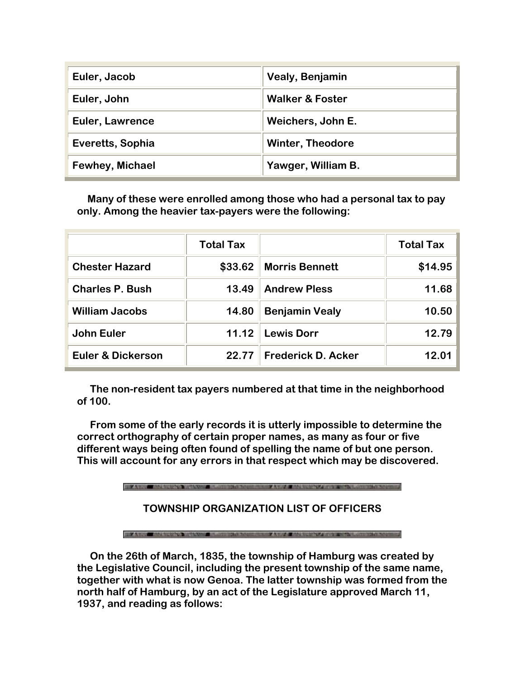| Euler, Jacob           | Vealy, Benjamin            |
|------------------------|----------------------------|
| Euler, John            | <b>Walker &amp; Foster</b> |
| <b>Euler, Lawrence</b> | Weichers, John E.          |
| Everetts, Sophia       | <b>Winter, Theodore</b>    |
| <b>Fewhey, Michael</b> | Yawger, William B.         |

 **Many of these were enrolled among those who had a personal tax to pay only. Among the heavier tax-payers were the following:**

|                              | <b>Total Tax</b> |                           | <b>Total Tax</b> |
|------------------------------|------------------|---------------------------|------------------|
| <b>Chester Hazard</b>        | \$33.62          | <b>Morris Bennett</b>     | \$14.95          |
| <b>Charles P. Bush</b>       | 13.49            | <b>Andrew Pless</b>       | 11.68            |
| <b>William Jacobs</b>        | 14.80            | <b>Benjamin Vealy</b>     | 10.50            |
| <b>John Euler</b>            | 11.12            | <b>Lewis Dorr</b>         | 12.79            |
| <b>Euler &amp; Dickerson</b> | 22.77            | <b>Frederick D. Acker</b> | 12.01            |

 **The non-resident tax payers numbered at that time in the neighborhood of 100.** 

 **From some of the early records it is utterly impossible to determine the correct orthography of certain proper names, as many as four or five different ways being often found of spelling the name of but one person. This will account for any errors in that respect which may be discovered.**

## **TOWNSHIP ORGANIZATION LIST OF OFFICERS**

 **On the 26th of March, 1835, the township of Hamburg was created by the Legislative Council, including the present township of the same name, together with what is now Genoa. The latter township was formed from the north half of Hamburg, by an act of the Legislature approved March 11, 1937, and reading as follows:**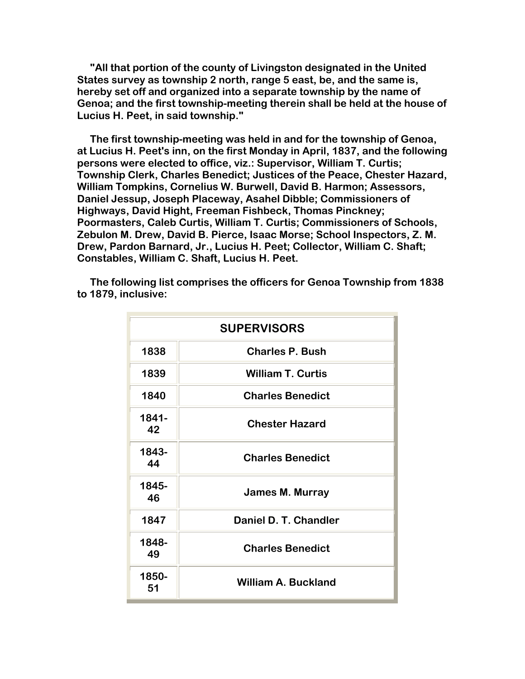**"All that portion of the county of Livingston designated in the United States survey as township 2 north, range 5 east, be, and the same is, hereby set off and organized into a separate township by the name of Genoa; and the first township-meeting therein shall be held at the house of Lucius H. Peet, in said township."** 

 **The first township-meeting was held in and for the township of Genoa, at Lucius H. Peet's inn, on the first Monday in April, 1837, and the following persons were elected to office, viz.: Supervisor, William T. Curtis; Township Clerk, Charles Benedict; Justices of the Peace, Chester Hazard, William Tompkins, Cornelius W. Burwell, David B. Harmon; Assessors, Daniel Jessup, Joseph Placeway, Asahel Dibble; Commissioners of Highways, David Hight, Freeman Fishbeck, Thomas Pinckney; Poormasters, Caleb Curtis, William T. Curtis; Commissioners of Schools, Zebulon M. Drew, David B. Pierce, Isaac Morse; School Inspectors, Z. M. Drew, Pardon Barnard, Jr., Lucius H. Peet; Collector, William C. Shaft; Constables, William C. Shaft, Lucius H. Peet.**

 **The following list comprises the officers for Genoa Township from 1838 to 1879, inclusive:**

| <b>SUPERVISORS</b> |                            |
|--------------------|----------------------------|
| 1838               | <b>Charles P. Bush</b>     |
| 1839               | <b>William T. Curtis</b>   |
| 1840               | <b>Charles Benedict</b>    |
| 1841-<br>42        | <b>Chester Hazard</b>      |
| 1843-<br>44        | <b>Charles Benedict</b>    |
| 1845-<br>46        | <b>James M. Murray</b>     |
| 1847               | Daniel D. T. Chandler      |
| 1848-<br>49        | <b>Charles Benedict</b>    |
| 1850-<br>51        | <b>William A. Buckland</b> |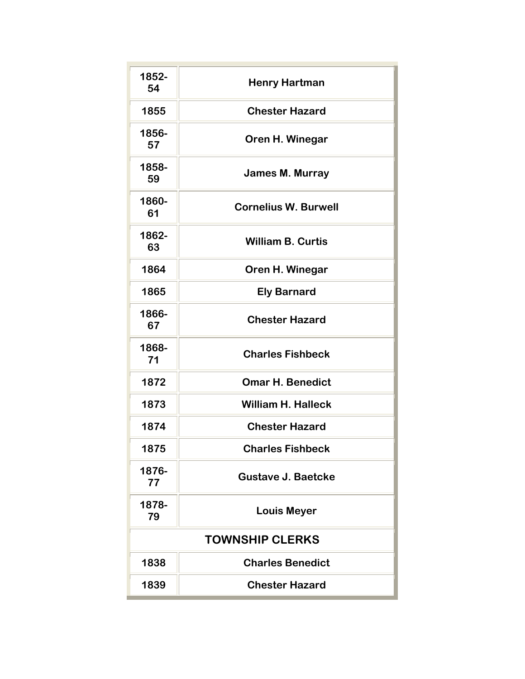| 1852-<br>54 | <b>Henry Hartman</b>        |
|-------------|-----------------------------|
| 1855        | <b>Chester Hazard</b>       |
| 1856-<br>57 | Oren H. Winegar             |
| 1858-<br>59 | <b>James M. Murray</b>      |
| 1860-<br>61 | <b>Cornelius W. Burwell</b> |
| 1862-<br>63 | <b>William B. Curtis</b>    |
| 1864        | Oren H. Winegar             |
| 1865        | <b>Ely Barnard</b>          |
| 1866-<br>67 | <b>Chester Hazard</b>       |
| 1868-<br>71 | <b>Charles Fishbeck</b>     |
| 1872        | <b>Omar H. Benedict</b>     |
| 1873        | <b>William H. Halleck</b>   |
| 1874        | <b>Chester Hazard</b>       |
| 1875        | <b>Charles Fishbeck</b>     |
| 1876-<br>77 | <b>Gustave J. Baetcke</b>   |
| 1878-<br>79 | <b>Louis Meyer</b>          |
|             | <b>TOWNSHIP CLERKS</b>      |
| 1838        | <b>Charles Benedict</b>     |
| 1839        | <b>Chester Hazard</b>       |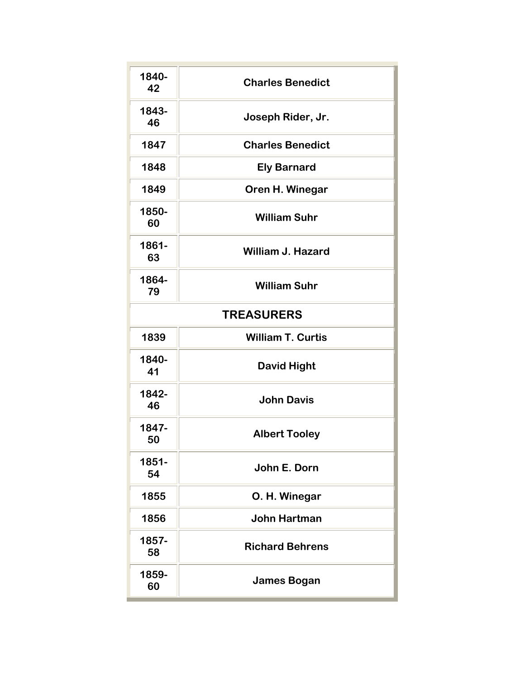| 1840-<br>42 | <b>Charles Benedict</b>  |
|-------------|--------------------------|
| 1843-<br>46 | Joseph Rider, Jr.        |
| 1847        | <b>Charles Benedict</b>  |
| 1848        | <b>Ely Barnard</b>       |
| 1849        | Oren H. Winegar          |
| 1850-<br>60 | <b>William Suhr</b>      |
| 1861-<br>63 | <b>William J. Hazard</b> |
| 1864-<br>79 | <b>William Suhr</b>      |
|             | <b>TREASURERS</b>        |
| 1839        | <b>William T. Curtis</b> |
| 1840-<br>41 | <b>David Hight</b>       |
| 1842-<br>46 | <b>John Davis</b>        |
| 1847-<br>50 | <b>Albert Tooley</b>     |
| 1851-<br>54 | John E. Dorn             |
| 1855        | O. H. Winegar            |
| 1856        | <b>John Hartman</b>      |
| 1857-<br>58 | <b>Richard Behrens</b>   |
| 1859-<br>60 | <b>James Bogan</b>       |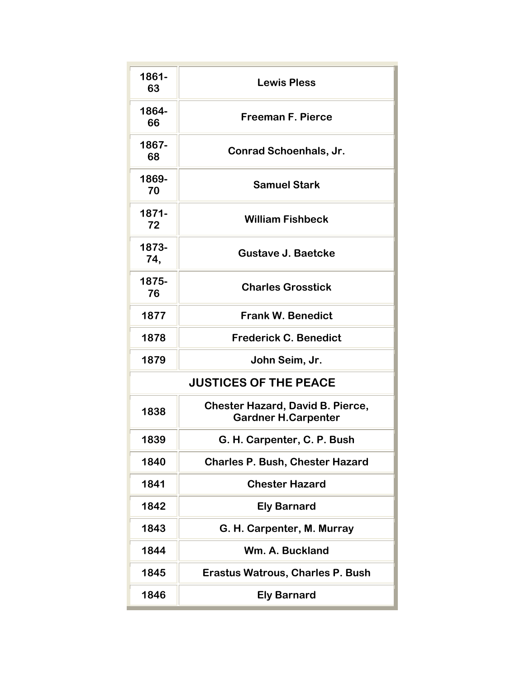| 1861-<br>63  | <b>Lewis Pless</b>                                                    |
|--------------|-----------------------------------------------------------------------|
|              |                                                                       |
| 1864-<br>66  | <b>Freeman F. Pierce</b>                                              |
| 1867-<br>68  | <b>Conrad Schoenhals, Jr.</b>                                         |
| 1869-<br>70  | <b>Samuel Stark</b>                                                   |
| 1871-<br>72  | <b>William Fishbeck</b>                                               |
| 1873-<br>74, | <b>Gustave J. Baetcke</b>                                             |
| 1875-<br>76  | <b>Charles Grosstick</b>                                              |
| 1877         | <b>Frank W. Benedict</b>                                              |
| 1878         | <b>Frederick C. Benedict</b>                                          |
| 1879         | John Seim, Jr.                                                        |
|              | <b>JUSTICES OF THE PEACE</b>                                          |
| 1838         | <b>Chester Hazard, David B. Pierce,</b><br><b>Gardner H.Carpenter</b> |
| 1839         | G. H. Carpenter, C. P. Bush                                           |
| 1840         | <b>Charles P. Bush, Chester Hazard</b>                                |
| 1841         | <b>Chester Hazard</b>                                                 |
| 1842         | <b>Ely Barnard</b>                                                    |
| 1843         | G. H. Carpenter, M. Murray                                            |
| 1844         | Wm. A. Buckland                                                       |
| 1845         | <b>Erastus Watrous, Charles P. Bush</b>                               |
| 1846         | <b>Ely Barnard</b>                                                    |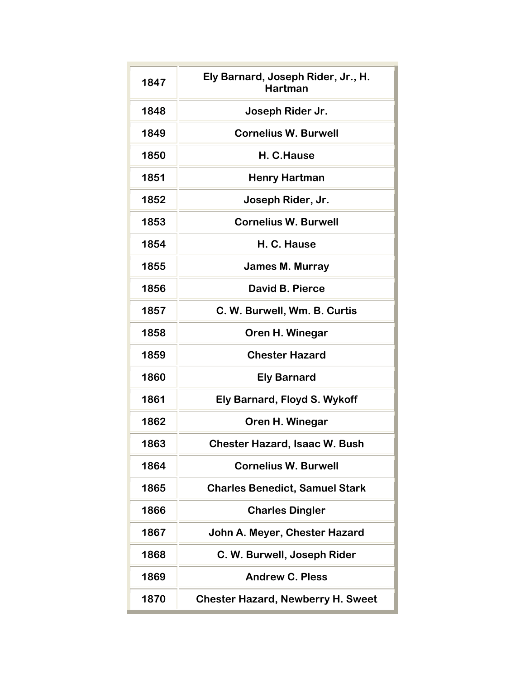| 1847 | Ely Barnard, Joseph Rider, Jr., H.<br><b>Hartman</b> |
|------|------------------------------------------------------|
| 1848 | Joseph Rider Jr.                                     |
| 1849 | <b>Cornelius W. Burwell</b>                          |
| 1850 | H. C.Hause                                           |
| 1851 | <b>Henry Hartman</b>                                 |
| 1852 | Joseph Rider, Jr.                                    |
| 1853 | <b>Cornelius W. Burwell</b>                          |
| 1854 | H. C. Hause                                          |
| 1855 | <b>James M. Murray</b>                               |
| 1856 | David B. Pierce                                      |
| 1857 | C. W. Burwell, Wm. B. Curtis                         |
| 1858 | Oren H. Winegar                                      |
| 1859 | <b>Chester Hazard</b>                                |
| 1860 | <b>Ely Barnard</b>                                   |
| 1861 | Ely Barnard, Floyd S. Wykoff                         |
| 1862 | Oren H. Winegar                                      |
| 1863 | <b>Chester Hazard, Isaac W. Bush</b>                 |
| 1864 | <b>Cornelius W. Burwell</b>                          |
| 1865 | <b>Charles Benedict, Samuel Stark</b>                |
| 1866 | <b>Charles Dingler</b>                               |
| 1867 | John A. Meyer, Chester Hazard                        |
| 1868 | C. W. Burwell, Joseph Rider                          |
| 1869 | <b>Andrew C. Pless</b>                               |
| 1870 | <b>Chester Hazard, Newberry H. Sweet</b>             |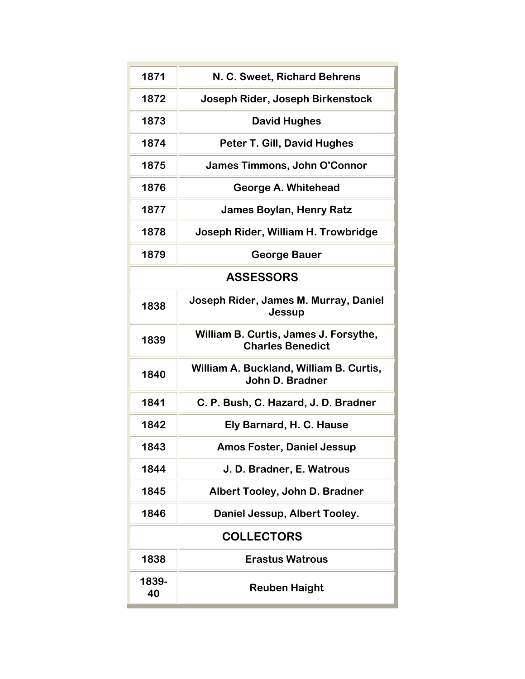| 1871        | N. C. Sweet, Richard Behrens                                     |
|-------------|------------------------------------------------------------------|
| 1872        | Joseph Rider, Joseph Birkenstock                                 |
| 1873        | <b>David Hughes</b>                                              |
| 1874        | Peter T. Gill, David Hughes                                      |
| 1875        | <b>James Timmons, John O'Connor</b>                              |
| 1876        | <b>George A. Whitehead</b>                                       |
| 1877        | <b>James Boylan, Henry Ratz</b>                                  |
| 1878        | Joseph Rider, William H. Trowbridge                              |
| 1879        | <b>George Bauer</b>                                              |
|             | <b>ASSESSORS</b>                                                 |
| 1838        | Joseph Rider, James M. Murray, Daniel<br>Jessup                  |
| 1839        | William B. Curtis, James J. Forsythe,<br><b>Charles Benedict</b> |
| 1840        | William A. Buckland, William B. Curtis,<br>John D. Bradner       |
| 1841        | C. P. Bush, C. Hazard, J. D. Bradner                             |
| 1842        | Ely Barnard, H. C. Hause                                         |
| 1843        | <b>Amos Foster, Daniel Jessup</b>                                |
| 1844        | J. D. Bradner, E. Watrous                                        |
| 1845        | Albert Tooley, John D. Bradner                                   |
| 1846        | Daniel Jessup, Albert Tooley.                                    |
|             | <b>COLLECTORS</b>                                                |
| 1838        | <b>Erastus Watrous</b>                                           |
| 1839-<br>40 | <b>Reuben Haight</b>                                             |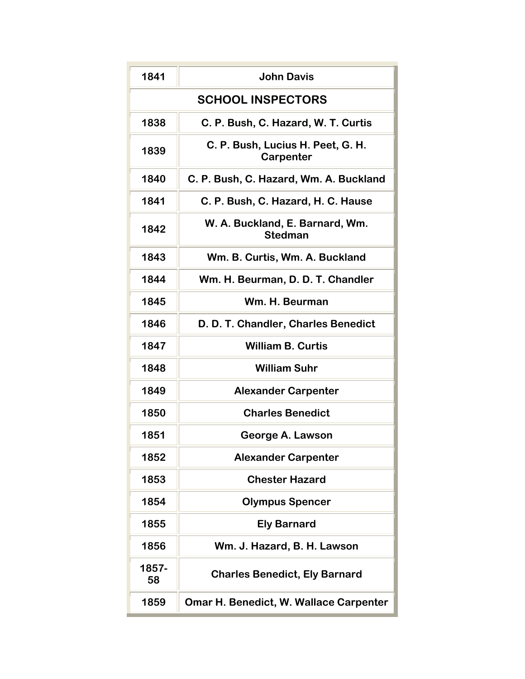| 1841                     | <b>John Davis</b>                                 |
|--------------------------|---------------------------------------------------|
| <b>SCHOOL INSPECTORS</b> |                                                   |
| 1838                     | C. P. Bush, C. Hazard, W. T. Curtis               |
| 1839                     | C. P. Bush, Lucius H. Peet, G. H.<br>Carpenter    |
| 1840                     | C. P. Bush, C. Hazard, Wm. A. Buckland            |
| 1841                     | C. P. Bush, C. Hazard, H. C. Hause                |
| 1842                     | W. A. Buckland, E. Barnard, Wm.<br><b>Stedman</b> |
| 1843                     | Wm. B. Curtis, Wm. A. Buckland                    |
| 1844                     | Wm. H. Beurman, D. D. T. Chandler                 |
| 1845                     | Wm. H. Beurman                                    |
| 1846                     | D. D. T. Chandler, Charles Benedict               |
| 1847                     | <b>William B. Curtis</b>                          |
| 1848                     | <b>William Suhr</b>                               |
| 1849                     | <b>Alexander Carpenter</b>                        |
| 1850                     | <b>Charles Benedict</b>                           |
| 1851                     | George A. Lawson                                  |
| 1852                     | <b>Alexander Carpenter</b>                        |
| 1853                     | <b>Chester Hazard</b>                             |
| 1854                     | <b>Olympus Spencer</b>                            |
| 1855                     | <b>Ely Barnard</b>                                |
| 1856                     | Wm. J. Hazard, B. H. Lawson                       |
| 1857-<br>58              | <b>Charles Benedict, Ely Barnard</b>              |
| 1859                     | <b>Omar H. Benedict, W. Wallace Carpenter</b>     |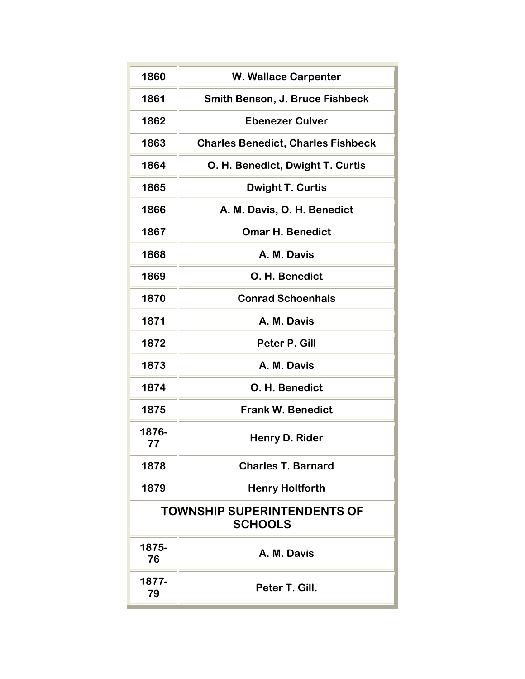| 1860                                                 | <b>W. Wallace Carpenter</b>               |  |
|------------------------------------------------------|-------------------------------------------|--|
| 1861                                                 | <b>Smith Benson, J. Bruce Fishbeck</b>    |  |
| 1862                                                 | <b>Ebenezer Culver</b>                    |  |
| 1863                                                 | <b>Charles Benedict, Charles Fishbeck</b> |  |
| 1864                                                 | O. H. Benedict, Dwight T. Curtis          |  |
| 1865                                                 | <b>Dwight T. Curtis</b>                   |  |
| 1866                                                 | A. M. Davis, O. H. Benedict               |  |
| 1867                                                 | <b>Omar H. Benedict</b>                   |  |
| 1868                                                 | A. M. Davis                               |  |
| 1869                                                 | O. H. Benedict                            |  |
| 1870                                                 | <b>Conrad Schoenhals</b>                  |  |
| 1871                                                 | A. M. Davis                               |  |
| 1872                                                 | Peter P. Gill                             |  |
| 1873                                                 | A. M. Davis                               |  |
| 1874                                                 | O. H. Benedict                            |  |
| 1875                                                 | <b>Frank W. Benedict</b>                  |  |
| 1876-<br>77                                          | Henry D. Rider                            |  |
| 1878                                                 | <b>Charles T. Barnard</b>                 |  |
| 1879                                                 | <b>Henry Holtforth</b>                    |  |
| <b>TOWNSHIP SUPERINTENDENTS OF</b><br><b>SCHOOLS</b> |                                           |  |
| 1875-<br>76                                          | A. M. Davis                               |  |
| 1877-<br>79                                          | Peter T. Gill.                            |  |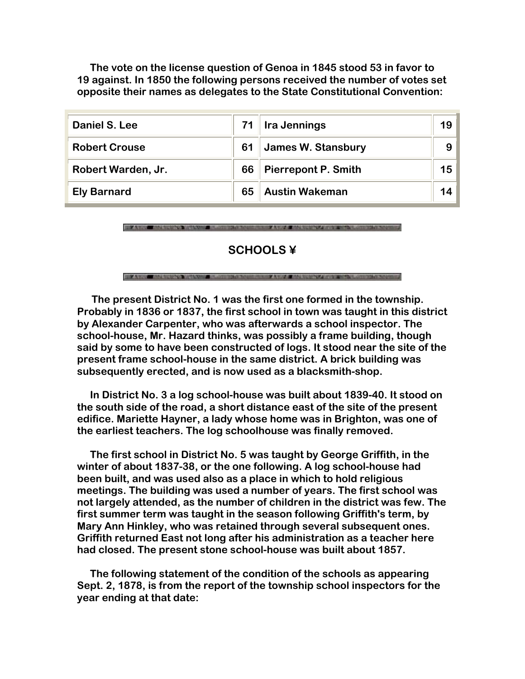**The vote on the license question of Genoa in 1845 stood 53 in favor to 19 against. In 1850 the following persons received the number of votes set opposite their names as delegates to the State Constitutional Convention:**

| Daniel S. Lee        |    | <b>Ira Jennings</b>        | 19             |
|----------------------|----|----------------------------|----------------|
| <b>Robert Crouse</b> | 61 | <b>James W. Stansbury</b>  | 9 <sup>1</sup> |
| Robert Warden, Jr.   | 66 | <b>Pierrepont P. Smith</b> | 15             |
| <b>Ely Barnard</b>   | 65 | <b>Austin Wakeman</b>      | 14             |

FOR AN ANY COMMUNISTY MANAGER BURNING CHARGES TO ANY A MAPLE AND CONTROLLED

## **SCHOOLS ¥**

 **The present District No. 1 was the first one formed in the township. Probably in 1836 or 1837, the first school in town was taught in this district by Alexander Carpenter, who was afterwards a school inspector. The school-house, Mr. Hazard thinks, was possibly a frame building, though said by some to have been constructed of logs. It stood near the site of the present frame school-house in the same district. A brick building was subsequently erected, and is now used as a blacksmith-shop.** 

 **In District No. 3 a log school-house was built about 1839-40. It stood on the south side of the road, a short distance east of the site of the present edifice. Mariette Hayner, a lady whose home was in Brighton, was one of the earliest teachers. The log schoolhouse was finally removed.** 

 **The first school in District No. 5 was taught by George Griffith, in the winter of about 1837-38, or the one following. A log school-house had been built, and was used also as a place in which to hold religious meetings. The building was used a number of years. The first school was not largely attended, as the number of children in the district was few. The first summer term was taught in the season following Griffith's term, by Mary Ann Hinkley, who was retained through several subsequent ones. Griffith returned East not long after his administration as a teacher here had closed. The present stone school-house was built about 1857.**

 **The following statement of the condition of the schools as appearing Sept. 2, 1878, is from the report of the township school inspectors for the year ending at that date:**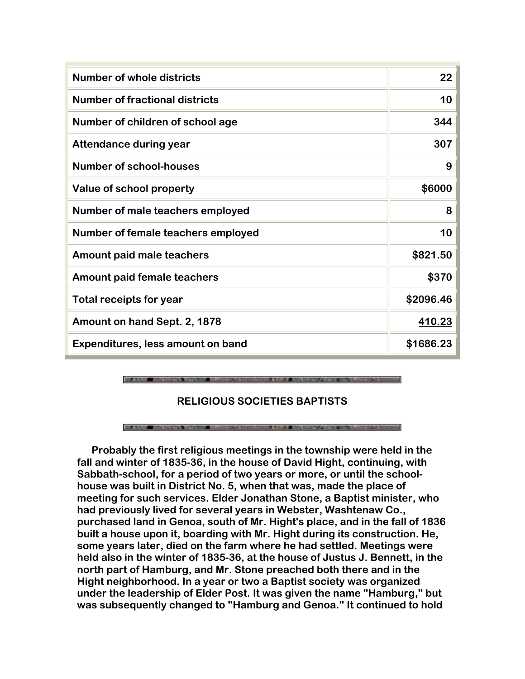| <b>Number of whole districts</b>      | 22        |
|---------------------------------------|-----------|
| <b>Number of fractional districts</b> | 10        |
| Number of children of school age      | 344       |
| <b>Attendance during year</b>         | 307       |
| <b>Number of school-houses</b>        | 9         |
| Value of school property              | \$6000    |
| Number of male teachers employed      | 8         |
| Number of female teachers employed    | 10        |
| Amount paid male teachers             | \$821.50  |
| <b>Amount paid female teachers</b>    | \$370     |
| Total receipts for year               | \$2096.46 |
| Amount on hand Sept. 2, 1878          | 410.23    |
| Expenditures, less amount on band     | \$1686.23 |

**BUILDING AND CONSTRUCTION AND A MANUFACT** 

# **RELIGIOUS SOCIETIES BAPTISTS**

### THE ANGEL MATERIALS IN SECTION OF STREET WAS CONSIDERED AND RELEASED FOR THE CONSTRUCTION OF STREET

 **Probably the first religious meetings in the township were held in the fall and winter of 1835-36, in the house of David Hight, continuing, with Sabbath-school, for a period of two years or more, or until the schoolhouse was built in District No. 5, when that was, made the place of meeting for such services. Elder Jonathan Stone, a Baptist minister, who had previously lived for several years in Webster, Washtenaw Co., purchased land in Genoa, south of Mr. Hight's place, and in the fall of 1836 built a house upon it, boarding with Mr. Hight during its construction. He, some years later, died on the farm where he had settled. Meetings were held also in the winter of 1835-36, at the house of Justus J. Bennett, in the north part of Hamburg, and Mr. Stone preached both there and in the Hight neighborhood. In a year or two a Baptist society was organized under the leadership of Elder Post. It was given the name "Hamburg," but was subsequently changed to "Hamburg and Genoa." It continued to hold**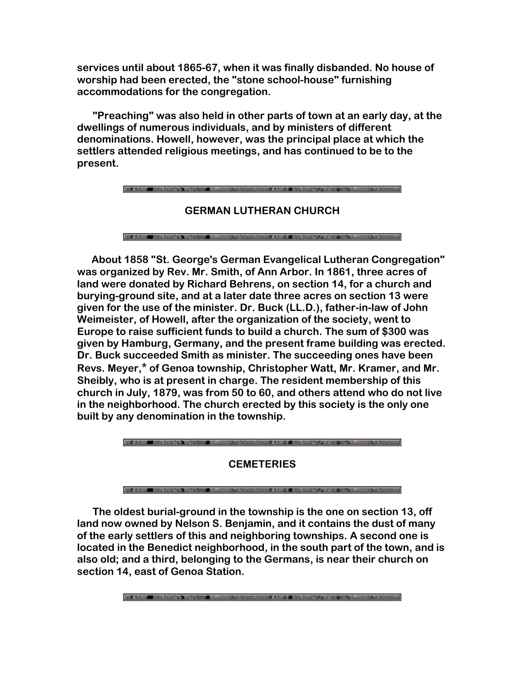**services until about 1865-67, when it was finally disbanded. No house of worship had been erected, the "stone school-house" furnishing accommodations for the congregation.** 

 **"Preaching" was also held in other parts of town at an early day, at the dwellings of numerous individuals, and by ministers of different denominations. Howell, however, was the principal place at which the settlers attended religious meetings, and has continued to be to the present.**

**FOR A WORK OF THE STATE OF A WORKS** 

**GERMAN LUTHERAN CHURCH**

**FIXARE ALEXAN REAGANT AND RELEASE AND AVEC AND ARREST FIXED FOR** 

 **About 1858 "St. George's German Evangelical Lutheran Congregation" was organized by Rev. Mr. Smith, of Ann Arbor. In 1861, three acres of land were donated by Richard Behrens, on section 14, for a church and burying-ground site, and at a later date three acres on section 13 were given for the use of the minister. Dr. Buck (LL.D.), father-in-law of John Weimeister, of Howell, after the organization of the society, went to Europe to raise sufficient funds to build a church. The sum of \$300 was given by Hamburg, Germany, and the present frame building was erected. Dr. Buck succeeded Smith as minister. The succeeding ones have been Revs. Meyer,\* of Genoa township, Christopher Watt, Mr. Kramer, and Mr. Sheibly, who is at present in charge. The resident membership of this church in July, 1879, was from 50 to 60, and others attend who do not live in the neighborhood. The church erected by this society is the only one built by any denomination in the township.**



# **CEMETERIES**

### **FOR ASSESSMENT CONTINUES OF THE ANNUAL PROPERTY AND EXAMI STATISTICS** INTERFERING

 **The oldest burial-ground in the township is the one on section 13, off land now owned by Nelson S. Benjamin, and it contains the dust of many of the early settlers of this and neighboring townships. A second one is located in the Benedict neighborhood, in the south part of the town, and is also old; and a third, belonging to the Germans, is near their church on section 14, east of Genoa Station.**

THE ANNUAL MANUSCRIPTION OF RESIDENCE AND RELEASED FOR THE CONTRACTOR OF A STREET OF A STREET OF A STREET OF A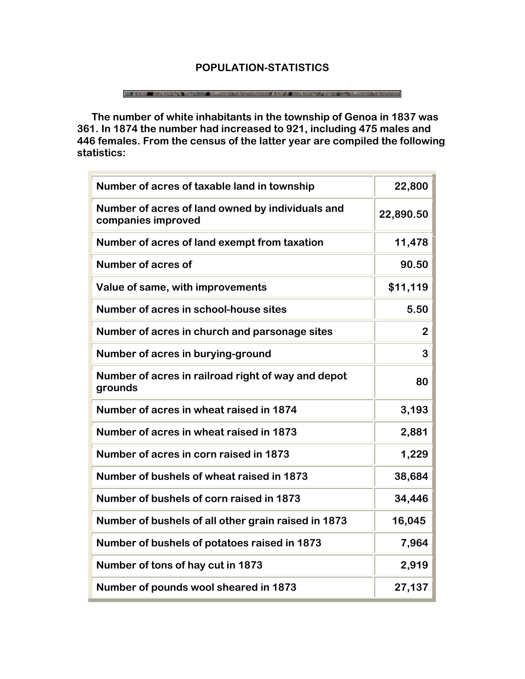# **POPULATION-STATISTICS**

### THE ANGLE AND LODGED TO LODGED AND THE SALE RELEASED AND LODGED AND LODGED AND LODGED AND LODGED AND LODGED AT

 **The number of white inhabitants in the township of Genoa in 1837 was 361. In 1874 the number had increased to 921, including 475 males and 446 females. From the census of the latter year are compiled the following statistics:**

| Number of acres of taxable land in township                            | 22,800    |
|------------------------------------------------------------------------|-----------|
| Number of acres of land owned by individuals and<br>companies improved | 22,890.50 |
| Number of acres of land exempt from taxation                           | 11,478    |
| Number of acres of                                                     | 90.50     |
| Value of same, with improvements                                       | \$11,119  |
| Number of acres in school-house sites                                  | 5.50      |
| Number of acres in church and parsonage sites                          | 2         |
| Number of acres in burying-ground                                      | 3         |
| Number of acres in railroad right of way and depot<br>grounds          | 80        |
| Number of acres in wheat raised in 1874                                | 3,193     |
| Number of acres in wheat raised in 1873                                | 2,881     |
| Number of acres in corn raised in 1873                                 | 1,229     |
| Number of bushels of wheat raised in 1873                              | 38,684    |
| Number of bushels of corn raised in 1873                               | 34,446    |
| Number of bushels of all other grain raised in 1873                    | 16,045    |
| Number of bushels of potatoes raised in 1873                           | 7,964     |
| Number of tons of hay cut in 1873                                      | 2,919     |
| Number of pounds wool sheared in 1873                                  | 27,137    |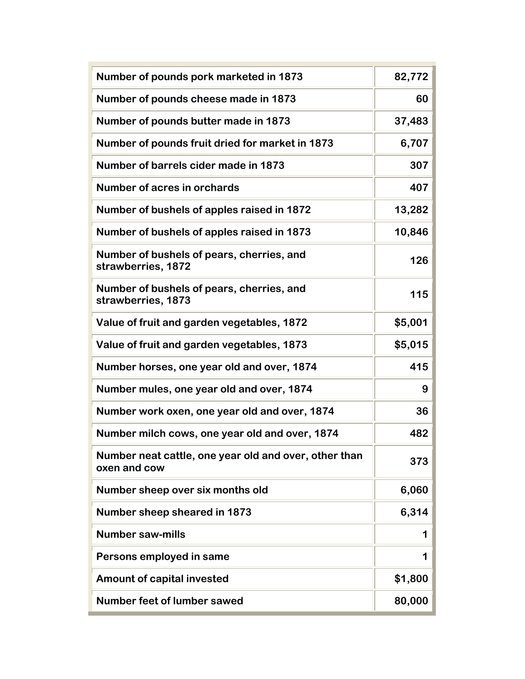| Number of pounds pork marketed in 1873                                | 82,772  |
|-----------------------------------------------------------------------|---------|
| Number of pounds cheese made in 1873                                  | 60      |
| Number of pounds butter made in 1873                                  | 37,483  |
| Number of pounds fruit dried for market in 1873                       | 6,707   |
| Number of barrels cider made in 1873                                  | 307     |
| Number of acres in orchards                                           | 407     |
| Number of bushels of apples raised in 1872                            | 13,282  |
| Number of bushels of apples raised in 1873                            | 10,846  |
| Number of bushels of pears, cherries, and<br>strawberries, 1872       | 126     |
| Number of bushels of pears, cherries, and<br>strawberries, 1873       | 115     |
| Value of fruit and garden vegetables, 1872                            | \$5,001 |
| Value of fruit and garden vegetables, 1873                            | \$5,015 |
| Number horses, one year old and over, 1874                            | 415     |
| Number mules, one year old and over, 1874                             | 9       |
| Number work oxen, one year old and over, 1874                         | 36      |
| Number milch cows, one year old and over, 1874                        | 482     |
| Number neat cattle, one year old and over, other than<br>oxen and cow | 373     |
| Number sheep over six months old                                      | 6,060   |
| Number sheep sheared in 1873                                          | 6,314   |
| <b>Number saw-mills</b>                                               | 1       |
| Persons employed in same                                              | 1       |
| <b>Amount of capital invested</b>                                     | \$1,800 |
| <b>Number feet of lumber sawed</b>                                    | 80,000  |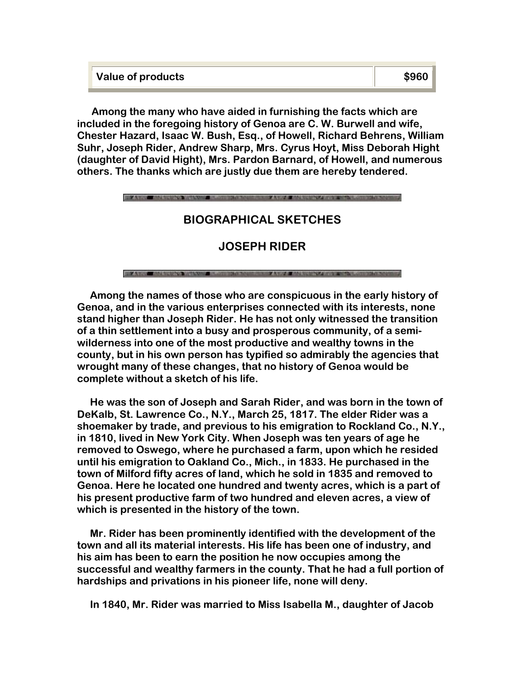| Value of products | \$960 |
|-------------------|-------|
|                   |       |

 **Among the many who have aided in furnishing the facts which are included in the foregoing history of Genoa are C. W. Burwell and wife, Chester Hazard, Isaac W. Bush, Esq., of Howell, Richard Behrens, William Suhr, Joseph Rider, Andrew Sharp, Mrs. Cyrus Hoyt, Miss Deborah Hight (daughter of David Hight), Mrs. Pardon Barnard, of Howell, and numerous others. The thanks which are justly due them are hereby tendered.** 

# **BIOGRAPHICAL SKETCHES**

# **JOSEPH RIDER**

### **BOOK STATE**

 **Among the names of those who are conspicuous in the early history of Genoa, and in the various enterprises connected with its interests, none stand higher than Joseph Rider. He has not only witnessed the transition of a thin settlement into a busy and prosperous community, of a semiwilderness into one of the most productive and wealthy towns in the county, but in his own person has typified so admirably the agencies that wrought many of these changes, that no history of Genoa would be complete without a sketch of his life.** 

 **He was the son of Joseph and Sarah Rider, and was born in the town of DeKalb, St. Lawrence Co., N.Y., March 25, 1817. The elder Rider was a shoemaker by trade, and previous to his emigration to Rockland Co., N.Y., in 1810, lived in New York City. When Joseph was ten years of age he removed to Oswego, where he purchased a farm, upon which he resided until his emigration to Oakland Co., Mich., in 1833. He purchased in the town of Milford fifty acres of land, which he sold in 1835 and removed to Genoa. Here he located one hundred and twenty acres, which is a part of his present productive farm of two hundred and eleven acres, a view of which is presented in the history of the town.** 

 **Mr. Rider has been prominently identified with the development of the town and all its material interests. His life has been one of industry, and his aim has been to earn the position he now occupies among the successful and wealthy farmers in the county. That he had a full portion of hardships and privations in his pioneer life, none will deny.** 

 **In 1840, Mr. Rider was married to Miss Isabella M., daughter of Jacob**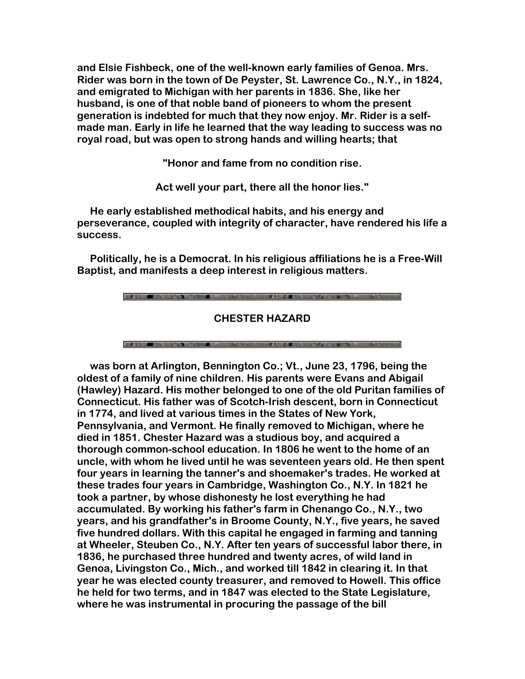**and Elsie Fishbeck, one of the well-known early families of Genoa. Mrs. Rider was born in the town of De Peyster, St. Lawrence Co., N.Y., in 1824, and emigrated to Michigan with her parents in 1836. She, like her husband, is one of that noble band of pioneers to whom the present generation is indebted for much that they now enjoy. Mr. Rider is a selfmade man. Early in life he learned that the way leading to success was no royal road, but was open to strong hands and willing hearts; that** 

**"Honor and fame from no condition rise.**

**Act well your part, there all the honor lies."**

 **He early established methodical habits, and his energy and perseverance, coupled with integrity of character, have rendered his life a success.**

 **Politically, he is a Democrat. In his religious affiliations he is a Free-Will Baptist, and manifests a deep interest in religious matters.**

**FOR A VISIT AND AUTOMOTIVE VIOLENCE AND A** 

**CHESTER HAZARD**

**FOR A RIVER HAVE THE REPORT OF A VIOLATION COMPANY** 

 **was born at Arlington, Bennington Co.; Vt., June 23, 1796, being the oldest of a family of nine children. His parents were Evans and Abigail (Hawley) Hazard. His mother belonged to one of the old Puritan families of Connecticut. His father was of Scotch-Irish descent, born in Connecticut in 1774, and lived at various times in the States of New York, Pennsylvania, and Vermont. He finally removed to Michigan, where he died in 1851. Chester Hazard was a studious boy, and acquired a thorough common-school education. In 1806 he went to the home of an uncle, with whom he lived until he was seventeen years old. He then spent four years in learning the tanner's and shoemaker's trades. He worked at these trades four years in Cambridge, Washington Co., N.Y. In 1821 he took a partner, by whose dishonesty he lost everything he had accumulated. By working his father's farm in Chenango Co., N.Y., two years, and his grandfather's in Broome County, N.Y., five years, he saved five hundred dollars. With this capital he engaged in farming and tanning at Wheeler, Steuben Co., N.Y. After ten years of successful labor there, in 1836, he purchased three hundred and twenty acres, of wild land in Genoa, Livingston Co., Mich., and worked till 1842 in clearing it. In that year he was elected county treasurer, and removed to Howell. This office he held for two terms, and in 1847 was elected to the State Legislature, where he was instrumental in procuring the passage of the bill**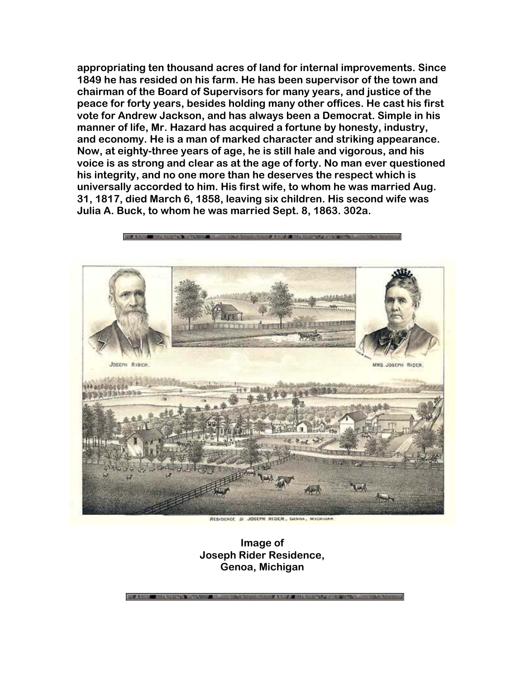**appropriating ten thousand acres of land for internal improvements. Since 1849 he has resided on his farm. He has been supervisor of the town and chairman of the Board of Supervisors for many years, and justice of the peace for forty years, besides holding many other offices. He cast his first vote for Andrew Jackson, and has always been a Democrat. Simple in his manner of life, Mr. Hazard has acquired a fortune by honesty, industry, and economy. He is a man of marked character and striking appearance. Now, at eighty-three years of age, he is still hale and vigorous, and his voice is as strong and clear as at the age of forty. No man ever questioned his integrity, and no one more than he deserves the respect which is universally accorded to him. His first wife, to whom he was married Aug. 31, 1817, died March 6, 1858, leaving six children. His second wife was Julia A. Buck, to whom he was married Sept. 8, 1863. 302a.**



**Image of Joseph Rider Residence, Genoa, Michigan**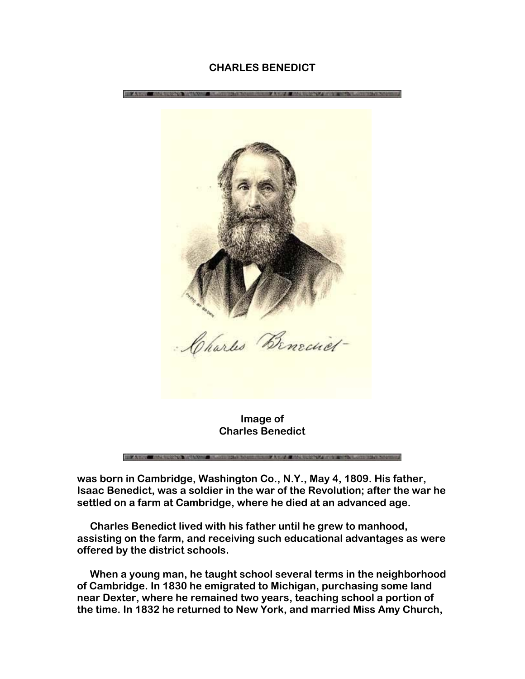### **CHARLES BENEDICT**



**was born in Cambridge, Washington Co., N.Y., May 4, 1809. His father, Isaac Benedict, was a soldier in the war of the Revolution; after the war he settled on a farm at Cambridge, where he died at an advanced age.** 

 **Charles Benedict lived with his father until he grew to manhood, assisting on the farm, and receiving such educational advantages as were offered by the district schools.** 

 **When a young man, he taught school several terms in the neighborhood of Cambridge. In 1830 he emigrated to Michigan, purchasing some land near Dexter, where he remained two years, teaching school a portion of the time. In 1832 he returned to New York, and married Miss Amy Church,**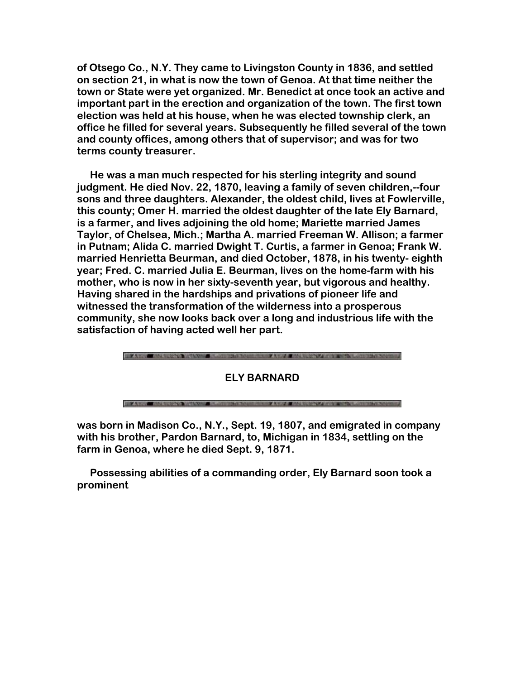**of Otsego Co., N.Y. They came to Livingston County in 1836, and settled on section 21, in what is now the town of Genoa. At that time neither the town or State were yet organized. Mr. Benedict at once took an active and important part in the erection and organization of the town. The first town election was held at his house, when he was elected township clerk, an office he filled for several years. Subsequently he filled several of the town and county offices, among others that of supervisor; and was for two terms county treasurer.**

 **He was a man much respected for his sterling integrity and sound judgment. He died Nov. 22, 1870, leaving a family of seven children,--four sons and three daughters. Alexander, the oldest child, lives at Fowlerville, this county; Omer H. married the oldest daughter of the late Ely Barnard, is a farmer, and lives adjoining the old home; Mariette married James Taylor, of Chelsea, Mich.; Martha A. married Freeman W. Allison; a farmer in Putnam; Alida C. married Dwight T. Curtis, a farmer in Genoa; Frank W. married Henrietta Beurman, and died October, 1878, in his twenty- eighth year; Fred. C. married Julia E. Beurman, lives on the home-farm with his mother, who is now in her sixty-seventh year, but vigorous and healthy. Having shared in the hardships and privations of pioneer life and witnessed the transformation of the wilderness into a prosperous community, she now looks back over a long and industrious life with the satisfaction of having acted well her part.**



**was born in Madison Co., N.Y., Sept. 19, 1807, and emigrated in company with his brother, Pardon Barnard, to, Michigan in 1834, settling on the farm in Genoa, where he died Sept. 9, 1871.** 

 **Possessing abilities of a commanding order, Ely Barnard soon took a prominent**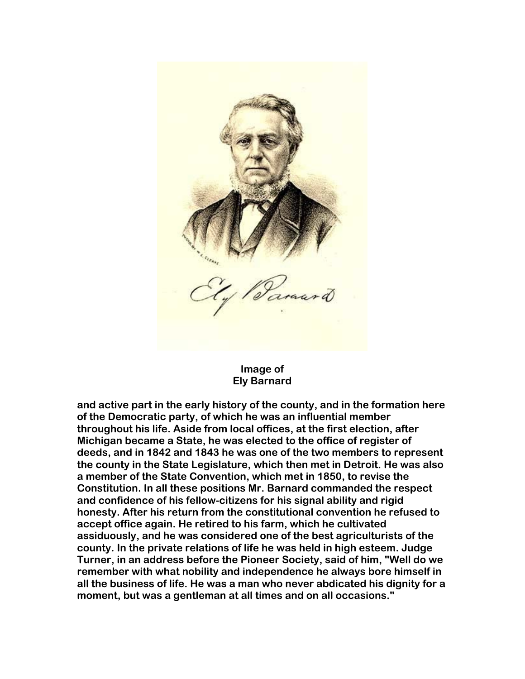

### **Image of Ely Barnard**

**and active part in the early history of the county, and in the formation here of the Democratic party, of which he was an influential member throughout his life. Aside from local offices, at the first election, after Michigan became a State, he was elected to the office of register of deeds, and in 1842 and 1843 he was one of the two members to represent the county in the State Legislature, which then met in Detroit. He was also a member of the State Convention, which met in 1850, to revise the Constitution. In all these positions Mr. Barnard commanded the respect and confidence of his fellow-citizens for his signal ability and rigid honesty. After his return from the constitutional convention he refused to accept office again. He retired to his farm, which he cultivated assiduously, and he was considered one of the best agriculturists of the county. In the private relations of life he was held in high esteem. Judge Turner, in an address before the Pioneer Society, said of him, "Well do we remember with what nobility and independence he always bore himself in all the business of life. He was a man who never abdicated his dignity for a moment, but was a gentleman at all times and on all occasions."**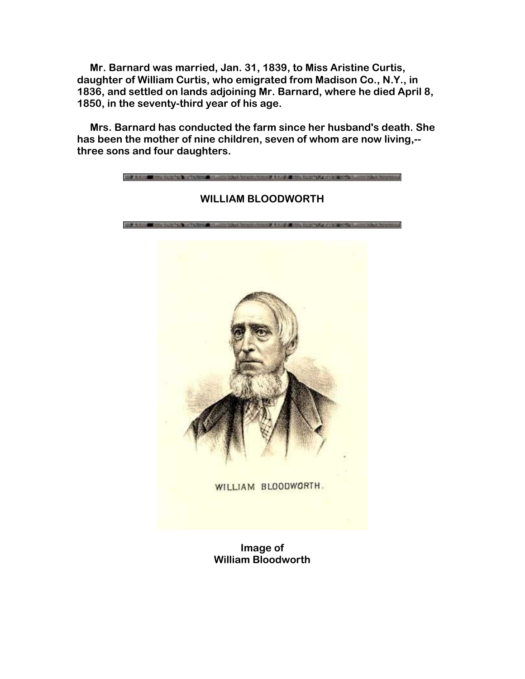**Mr. Barnard was married, Jan. 31, 1839, to Miss Aristine Curtis, daughter of William Curtis, who emigrated from Madison Co., N.Y., in 1836, and settled on lands adjoining Mr. Barnard, where he died April 8, 1850, in the seventy-third year of his age.** 

 **Mrs. Barnard has conducted the farm since her husband's death. She has been the mother of nine children, seven of whom are now living,- three sons and four daughters.**

> **BUILDING CONTROLLED BUILDING WILLIAM BLOODWORTH** *SILEY A WANTED AND RESEARCH* WILLIAM BLOODWORTH.

> > **Image of William Bloodworth**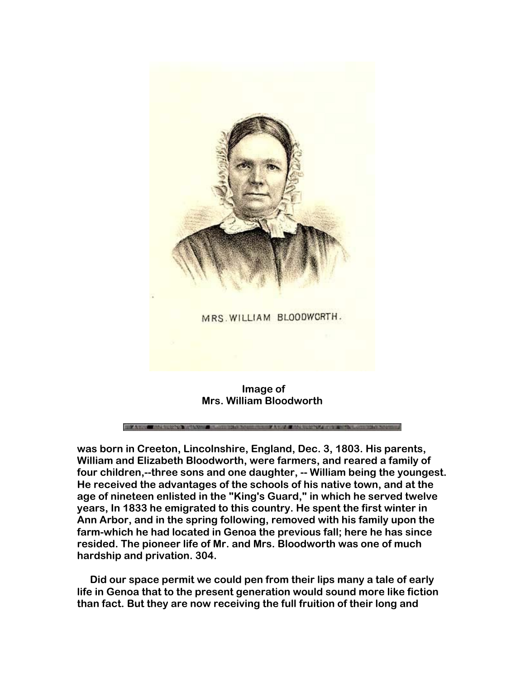

 **Image of Mrs. William Bloodworth** 

**was born in Creeton, Lincolnshire, England, Dec. 3, 1803. His parents, William and Elizabeth Bloodworth, were farmers, and reared a family of four children,--three sons and one daughter, -- William being the youngest. He received the advantages of the schools of his native town, and at the age of nineteen enlisted in the "King's Guard," in which he served twelve years, In 1833 he emigrated to this country. He spent the first winter in Ann Arbor, and in the spring following, removed with his family upon the farm-which he had located in Genoa the previous fall; here he has since resided. The pioneer life of Mr. and Mrs. Bloodworth was one of much hardship and privation. 304.**

 **Did our space permit we could pen from their lips many a tale of early life in Genoa that to the present generation would sound more like fiction than fact. But they are now receiving the full fruition of their long and**